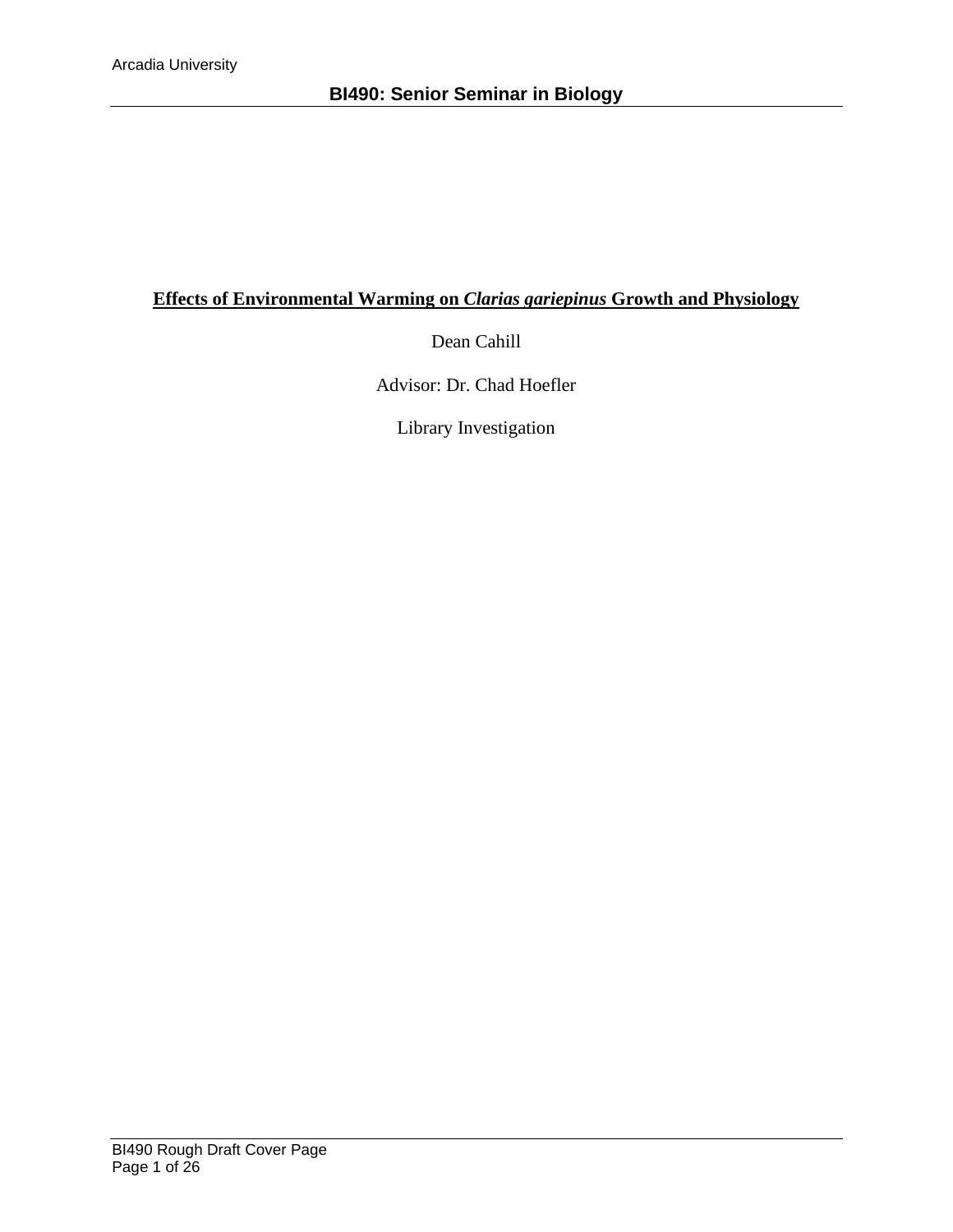# **Effects of Environmental Warming on** *Clarias gariepinus* **Growth and Physiology**

Dean Cahill

Advisor: Dr. Chad Hoefler

Library Investigation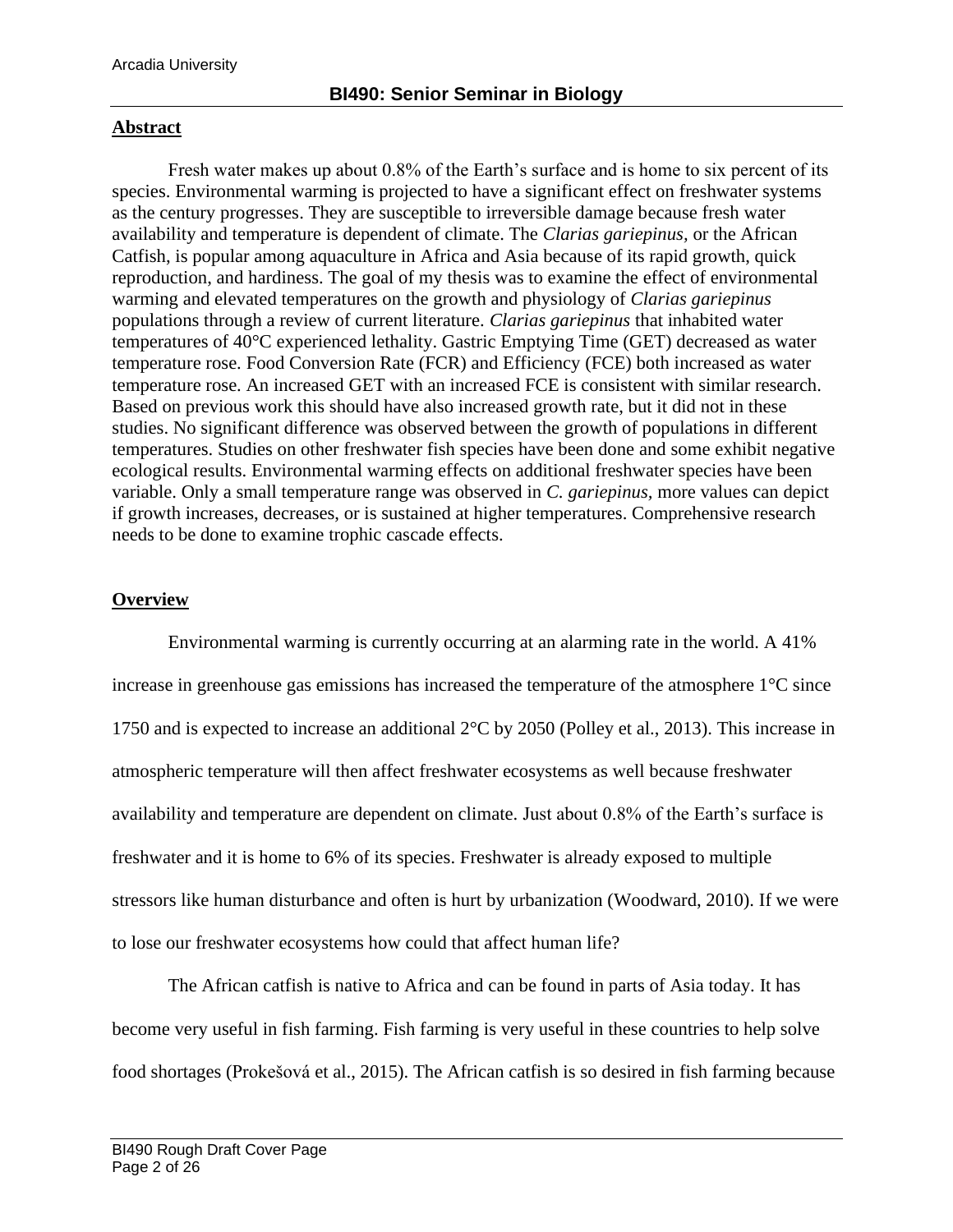### **Abstract**

Fresh water makes up about 0.8% of the Earth's surface and is home to six percent of its species. Environmental warming is projected to have a significant effect on freshwater systems as the century progresses. They are susceptible to irreversible damage because fresh water availability and temperature is dependent of climate. The *Clarias gariepinus,* or the African Catfish, is popular among aquaculture in Africa and Asia because of its rapid growth, quick reproduction, and hardiness. The goal of my thesis was to examine the effect of environmental warming and elevated temperatures on the growth and physiology of *Clarias gariepinus*  populations through a review of current literature. *Clarias gariepinus* that inhabited water temperatures of 40°C experienced lethality. Gastric Emptying Time (GET) decreased as water temperature rose. Food Conversion Rate (FCR) and Efficiency (FCE) both increased as water temperature rose. An increased GET with an increased FCE is consistent with similar research. Based on previous work this should have also increased growth rate, but it did not in these studies. No significant difference was observed between the growth of populations in different temperatures. Studies on other freshwater fish species have been done and some exhibit negative ecological results. Environmental warming effects on additional freshwater species have been variable. Only a small temperature range was observed in *C. gariepinus,* more values can depict if growth increases, decreases, or is sustained at higher temperatures. Comprehensive research needs to be done to examine trophic cascade effects.

## **Overview**

Environmental warming is currently occurring at an alarming rate in the world. A 41% increase in greenhouse gas emissions has increased the temperature of the atmosphere 1°C since 1750 and is expected to increase an additional 2°C by 2050 (Polley et al., 2013). This increase in atmospheric temperature will then affect freshwater ecosystems as well because freshwater availability and temperature are dependent on climate. Just about 0.8% of the Earth's surface is freshwater and it is home to 6% of its species. Freshwater is already exposed to multiple stressors like human disturbance and often is hurt by urbanization (Woodward, 2010). If we were to lose our freshwater ecosystems how could that affect human life?

The African catfish is native to Africa and can be found in parts of Asia today. It has become very useful in fish farming. Fish farming is very useful in these countries to help solve food shortages (Prokešová et al., 2015). The African catfish is so desired in fish farming because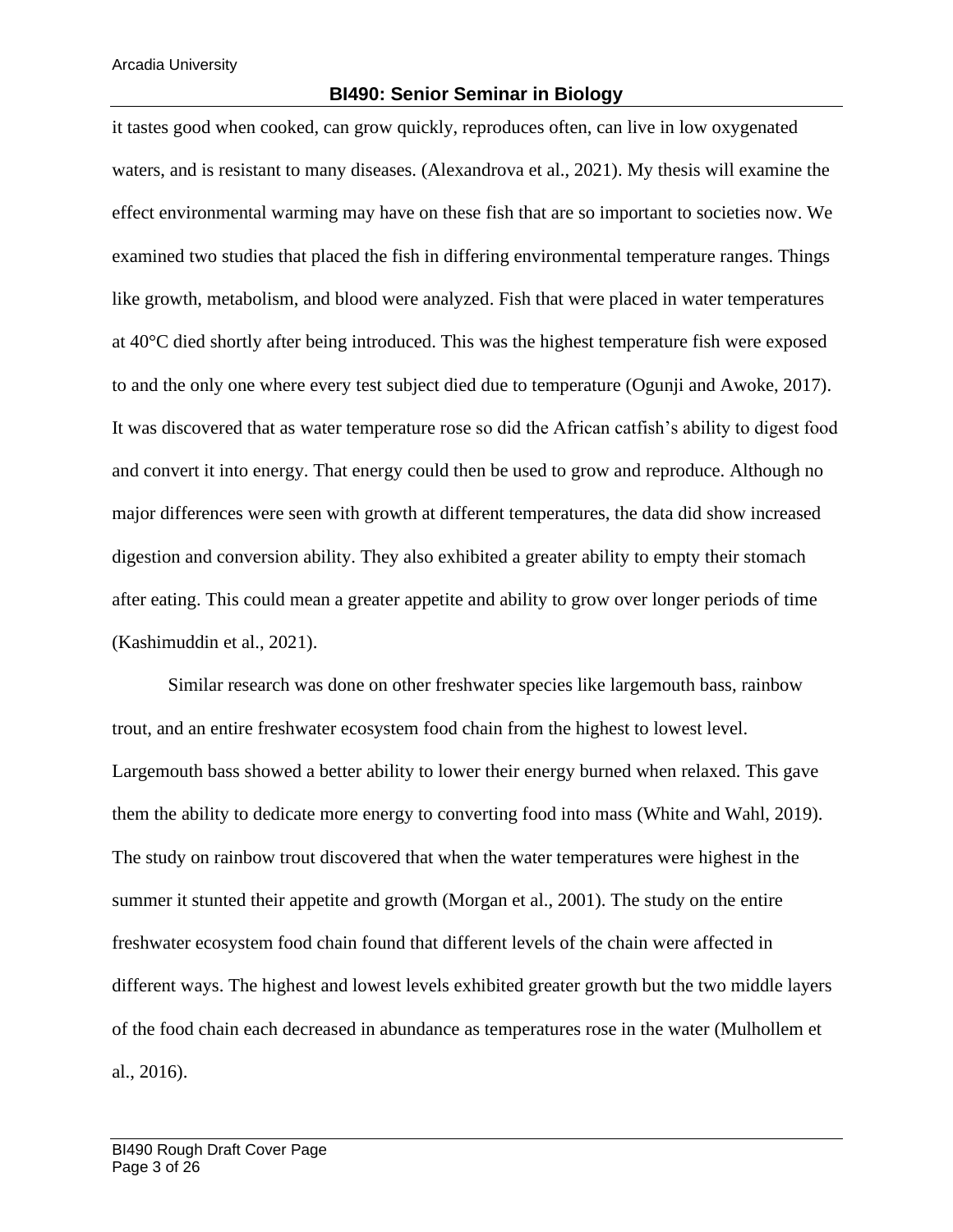#### **BI490: Senior Seminar in Biology**

it tastes good when cooked, can grow quickly, reproduces often, can live in low oxygenated waters, and is resistant to many diseases. (Alexandrova et al., 2021). My thesis will examine the effect environmental warming may have on these fish that are so important to societies now. We examined two studies that placed the fish in differing environmental temperature ranges. Things like growth, metabolism, and blood were analyzed. Fish that were placed in water temperatures at 40°C died shortly after being introduced. This was the highest temperature fish were exposed to and the only one where every test subject died due to temperature (Ogunji and Awoke, 2017). It was discovered that as water temperature rose so did the African catfish's ability to digest food and convert it into energy. That energy could then be used to grow and reproduce. Although no major differences were seen with growth at different temperatures, the data did show increased digestion and conversion ability. They also exhibited a greater ability to empty their stomach after eating. This could mean a greater appetite and ability to grow over longer periods of time (Kashimuddin et al., 2021).

Similar research was done on other freshwater species like largemouth bass, rainbow trout, and an entire freshwater ecosystem food chain from the highest to lowest level. Largemouth bass showed a better ability to lower their energy burned when relaxed. This gave them the ability to dedicate more energy to converting food into mass (White and Wahl, 2019). The study on rainbow trout discovered that when the water temperatures were highest in the summer it stunted their appetite and growth (Morgan et al., 2001). The study on the entire freshwater ecosystem food chain found that different levels of the chain were affected in different ways. The highest and lowest levels exhibited greater growth but the two middle layers of the food chain each decreased in abundance as temperatures rose in the water (Mulhollem et al., 2016).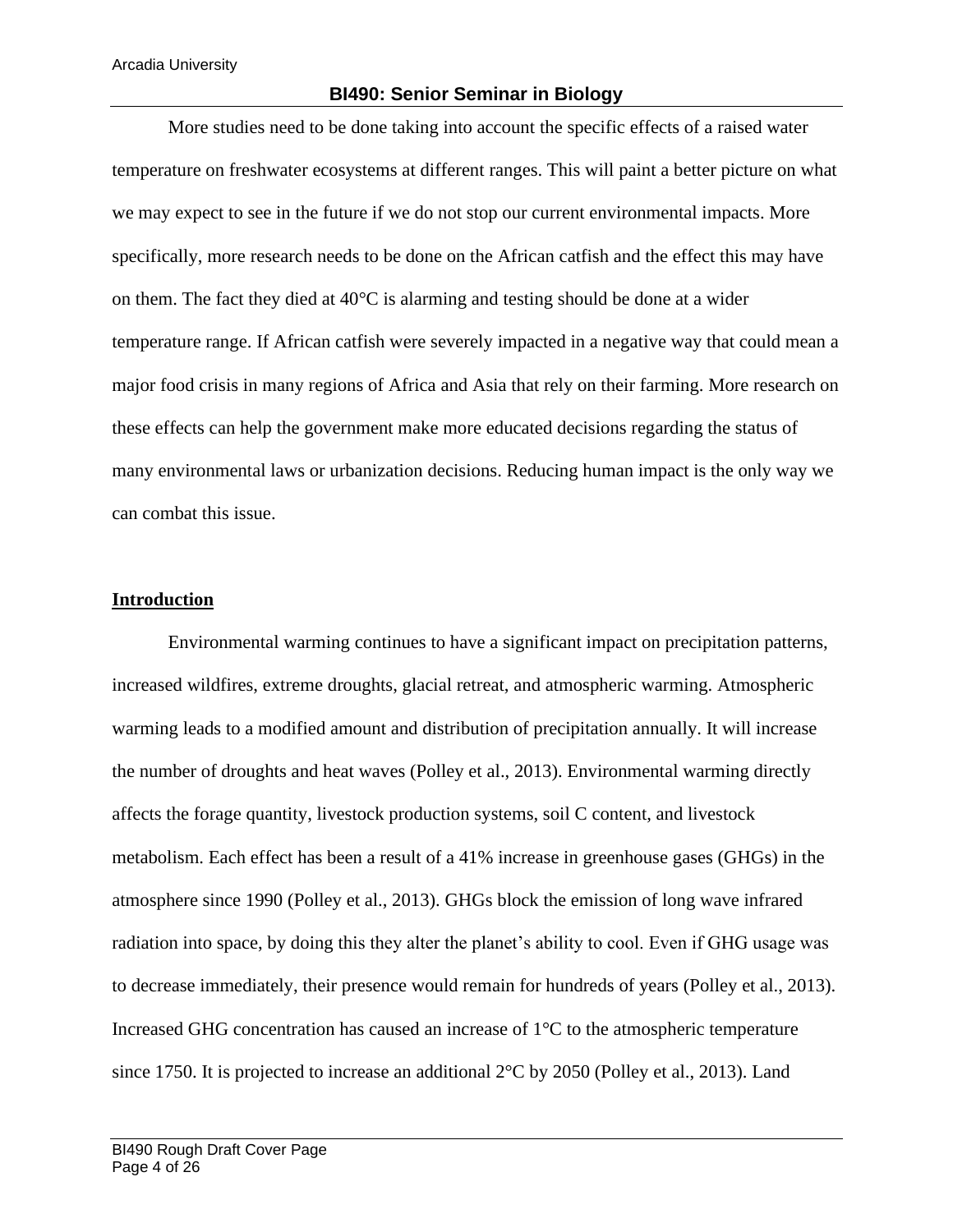#### **BI490: Senior Seminar in Biology**

More studies need to be done taking into account the specific effects of a raised water temperature on freshwater ecosystems at different ranges. This will paint a better picture on what we may expect to see in the future if we do not stop our current environmental impacts. More specifically, more research needs to be done on the African catfish and the effect this may have on them. The fact they died at 40°C is alarming and testing should be done at a wider temperature range. If African catfish were severely impacted in a negative way that could mean a major food crisis in many regions of Africa and Asia that rely on their farming. More research on these effects can help the government make more educated decisions regarding the status of many environmental laws or urbanization decisions. Reducing human impact is the only way we can combat this issue.

#### **Introduction**

Environmental warming continues to have a significant impact on precipitation patterns, increased wildfires, extreme droughts, glacial retreat, and atmospheric warming. Atmospheric warming leads to a modified amount and distribution of precipitation annually. It will increase the number of droughts and heat waves (Polley et al., 2013). Environmental warming directly affects the forage quantity, livestock production systems, soil C content, and livestock metabolism. Each effect has been a result of a 41% increase in greenhouse gases (GHGs) in the atmosphere since 1990 (Polley et al., 2013). GHGs block the emission of long wave infrared radiation into space, by doing this they alter the planet's ability to cool. Even if GHG usage was to decrease immediately, their presence would remain for hundreds of years (Polley et al., 2013). Increased GHG concentration has caused an increase of 1°C to the atmospheric temperature since 1750. It is projected to increase an additional 2°C by 2050 (Polley et al., 2013). Land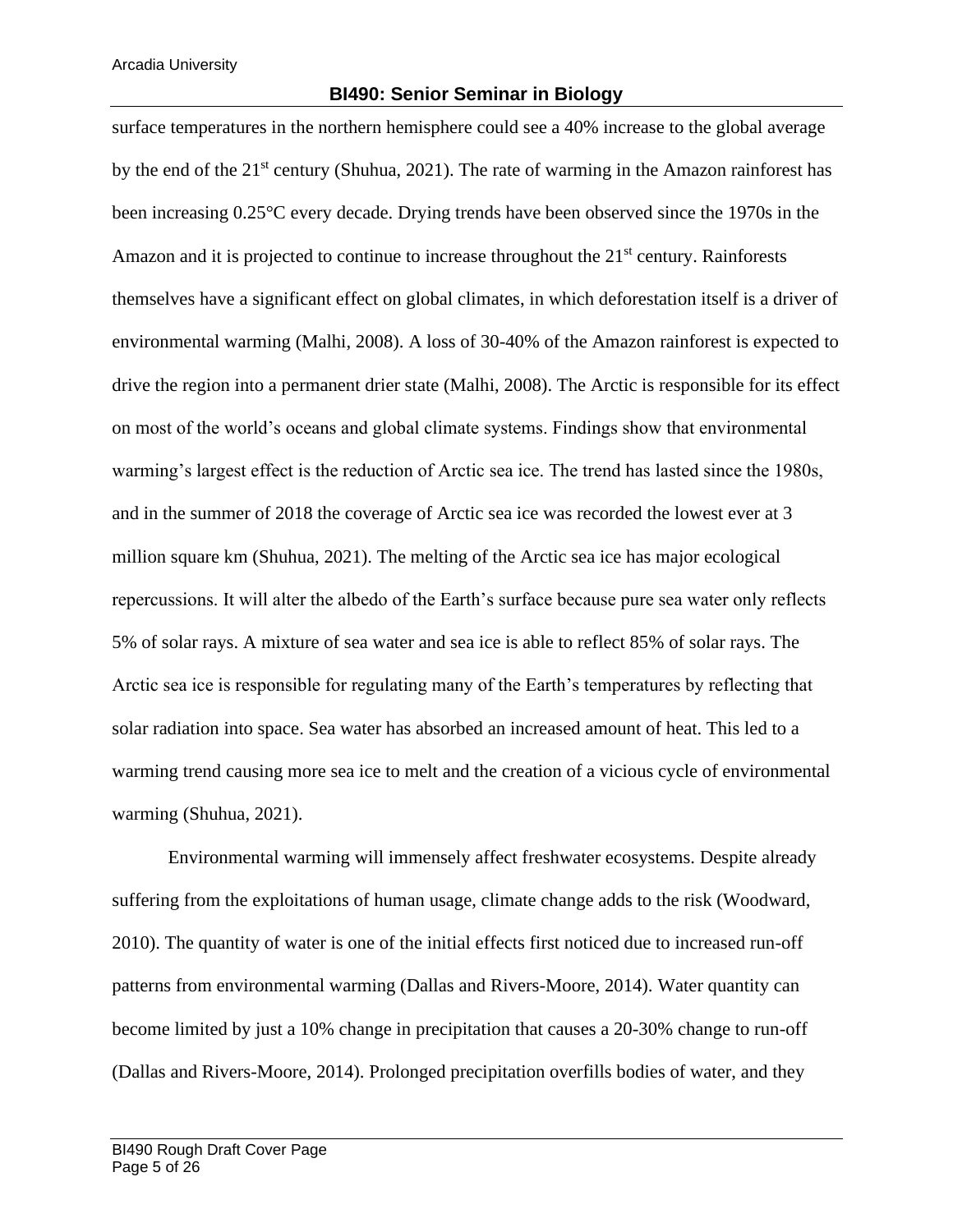### **BI490: Senior Seminar in Biology**

surface temperatures in the northern hemisphere could see a 40% increase to the global average by the end of the 21<sup>st</sup> century (Shuhua, 2021). The rate of warming in the Amazon rainforest has been increasing 0.25°C every decade. Drying trends have been observed since the 1970s in the Amazon and it is projected to continue to increase throughout the 21<sup>st</sup> century. Rainforests themselves have a significant effect on global climates, in which deforestation itself is a driver of environmental warming (Malhi, 2008). A loss of 30-40% of the Amazon rainforest is expected to drive the region into a permanent drier state (Malhi, 2008). The Arctic is responsible for its effect on most of the world's oceans and global climate systems. Findings show that environmental warming's largest effect is the reduction of Arctic sea ice. The trend has lasted since the 1980s, and in the summer of 2018 the coverage of Arctic sea ice was recorded the lowest ever at 3 million square km (Shuhua, 2021). The melting of the Arctic sea ice has major ecological repercussions. It will alter the albedo of the Earth's surface because pure sea water only reflects 5% of solar rays. A mixture of sea water and sea ice is able to reflect 85% of solar rays. The Arctic sea ice is responsible for regulating many of the Earth's temperatures by reflecting that solar radiation into space. Sea water has absorbed an increased amount of heat. This led to a warming trend causing more sea ice to melt and the creation of a vicious cycle of environmental warming (Shuhua, 2021).

Environmental warming will immensely affect freshwater ecosystems. Despite already suffering from the exploitations of human usage, climate change adds to the risk (Woodward, 2010). The quantity of water is one of the initial effects first noticed due to increased run-off patterns from environmental warming (Dallas and Rivers-Moore, 2014). Water quantity can become limited by just a 10% change in precipitation that causes a 20-30% change to run-off (Dallas and Rivers-Moore, 2014). Prolonged precipitation overfills bodies of water, and they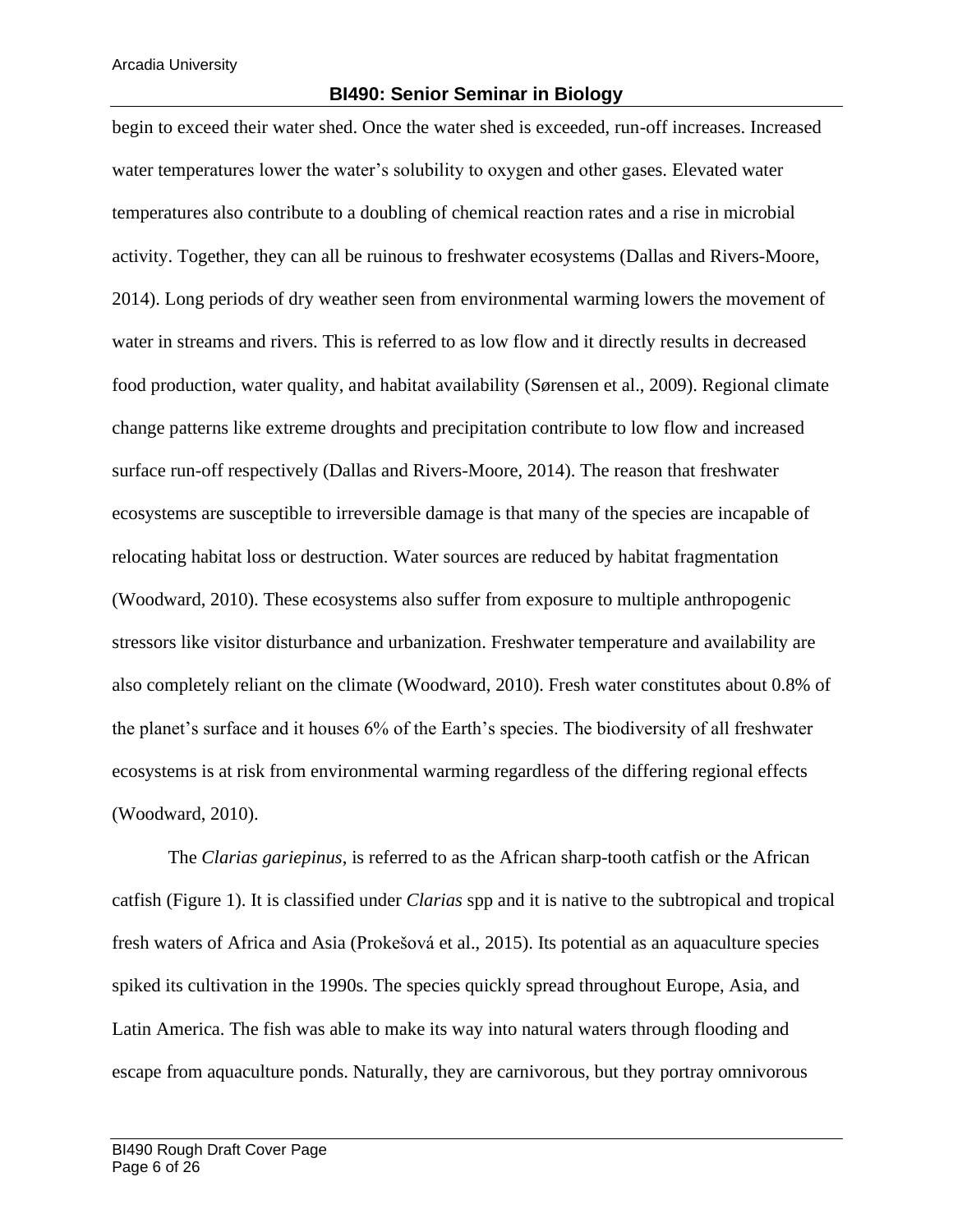#### **BI490: Senior Seminar in Biology**

begin to exceed their water shed. Once the water shed is exceeded, run-off increases. Increased water temperatures lower the water's solubility to oxygen and other gases. Elevated water temperatures also contribute to a doubling of chemical reaction rates and a rise in microbial activity. Together, they can all be ruinous to freshwater ecosystems (Dallas and Rivers-Moore, 2014). Long periods of dry weather seen from environmental warming lowers the movement of water in streams and rivers. This is referred to as low flow and it directly results in decreased food production, water quality, and habitat availability (Sørensen et al., 2009). Regional climate change patterns like extreme droughts and precipitation contribute to low flow and increased surface run-off respectively (Dallas and Rivers-Moore, 2014). The reason that freshwater ecosystems are susceptible to irreversible damage is that many of the species are incapable of relocating habitat loss or destruction. Water sources are reduced by habitat fragmentation (Woodward, 2010). These ecosystems also suffer from exposure to multiple anthropogenic stressors like visitor disturbance and urbanization. Freshwater temperature and availability are also completely reliant on the climate (Woodward, 2010). Fresh water constitutes about 0.8% of the planet's surface and it houses 6% of the Earth's species. The biodiversity of all freshwater ecosystems is at risk from environmental warming regardless of the differing regional effects (Woodward, 2010).

The *Clarias gariepinus*, is referred to as the African sharp-tooth catfish or the African catfish (Figure 1). It is classified under *Clarias* spp and it is native to the subtropical and tropical fresh waters of Africa and Asia (Prokešová et al., 2015). Its potential as an aquaculture species spiked its cultivation in the 1990s. The species quickly spread throughout Europe, Asia, and Latin America. The fish was able to make its way into natural waters through flooding and escape from aquaculture ponds. Naturally, they are carnivorous, but they portray omnivorous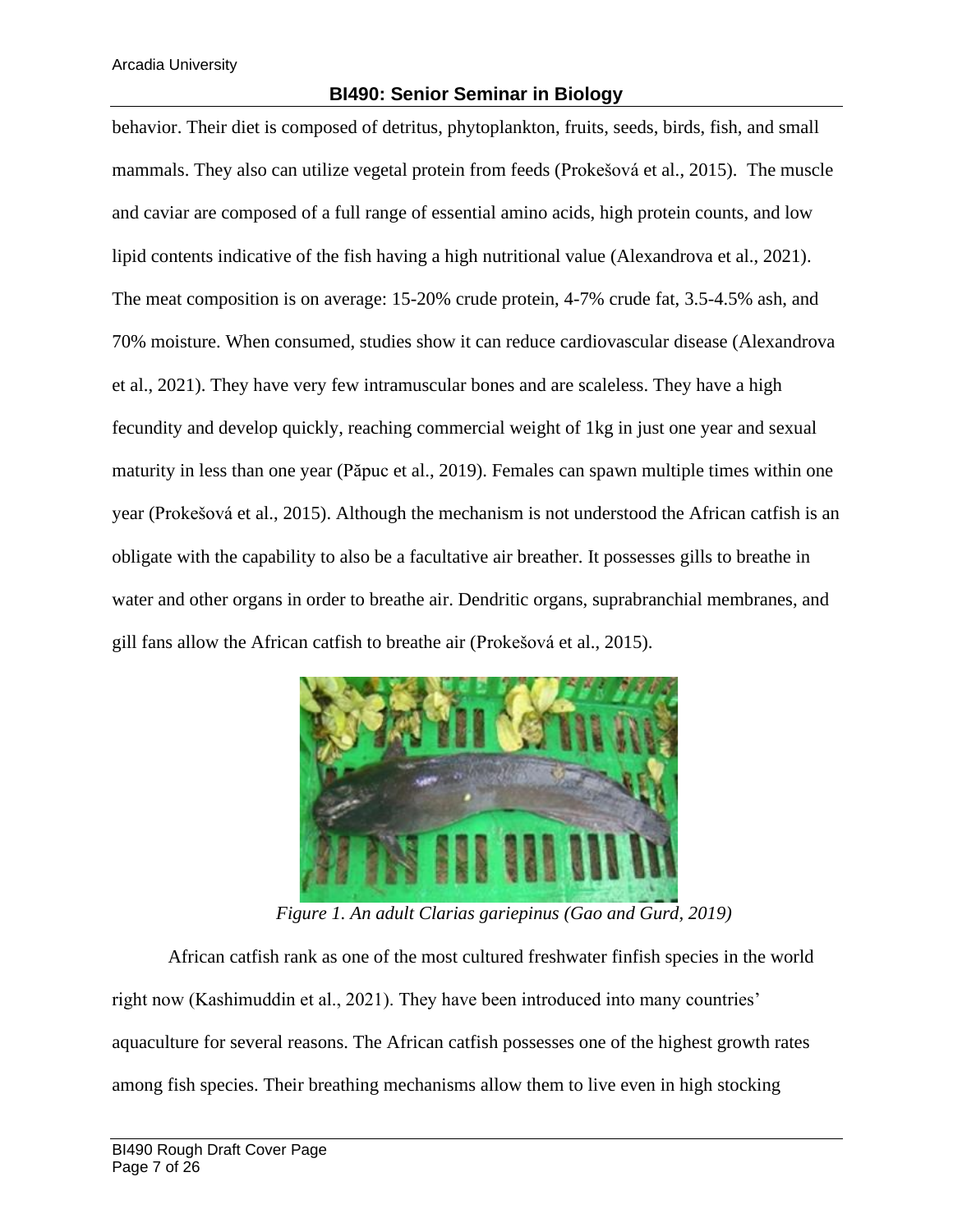behavior. Their diet is composed of detritus, phytoplankton, fruits, seeds, birds, fish, and small mammals. They also can utilize vegetal protein from feeds (Prokešová et al., 2015). The muscle and caviar are composed of a full range of essential amino acids, high protein counts, and low lipid contents indicative of the fish having a high nutritional value (Alexandrova et al., 2021). The meat composition is on average: 15-20% crude protein, 4-7% crude fat, 3.5-4.5% ash, and 70% moisture. When consumed, studies show it can reduce cardiovascular disease (Alexandrova et al., 2021). They have very few intramuscular bones and are scaleless. They have a high fecundity and develop quickly, reaching commercial weight of 1kg in just one year and sexual maturity in less than one year (Păpuc et al., 2019). Females can spawn multiple times within one year (Prokešová et al., 2015). Although the mechanism is not understood the African catfish is an obligate with the capability to also be a facultative air breather. It possesses gills to breathe in water and other organs in order to breathe air. Dendritic organs, suprabranchial membranes, and gill fans allow the African catfish to breathe air (Prokešová et al., 2015).



*Figure 1. An adult Clarias gariepinus (Gao and Gurd, 2019)*

African catfish rank as one of the most cultured freshwater finfish species in the world right now (Kashimuddin et al., 2021). They have been introduced into many countries' aquaculture for several reasons. The African catfish possesses one of the highest growth rates among fish species. Their breathing mechanisms allow them to live even in high stocking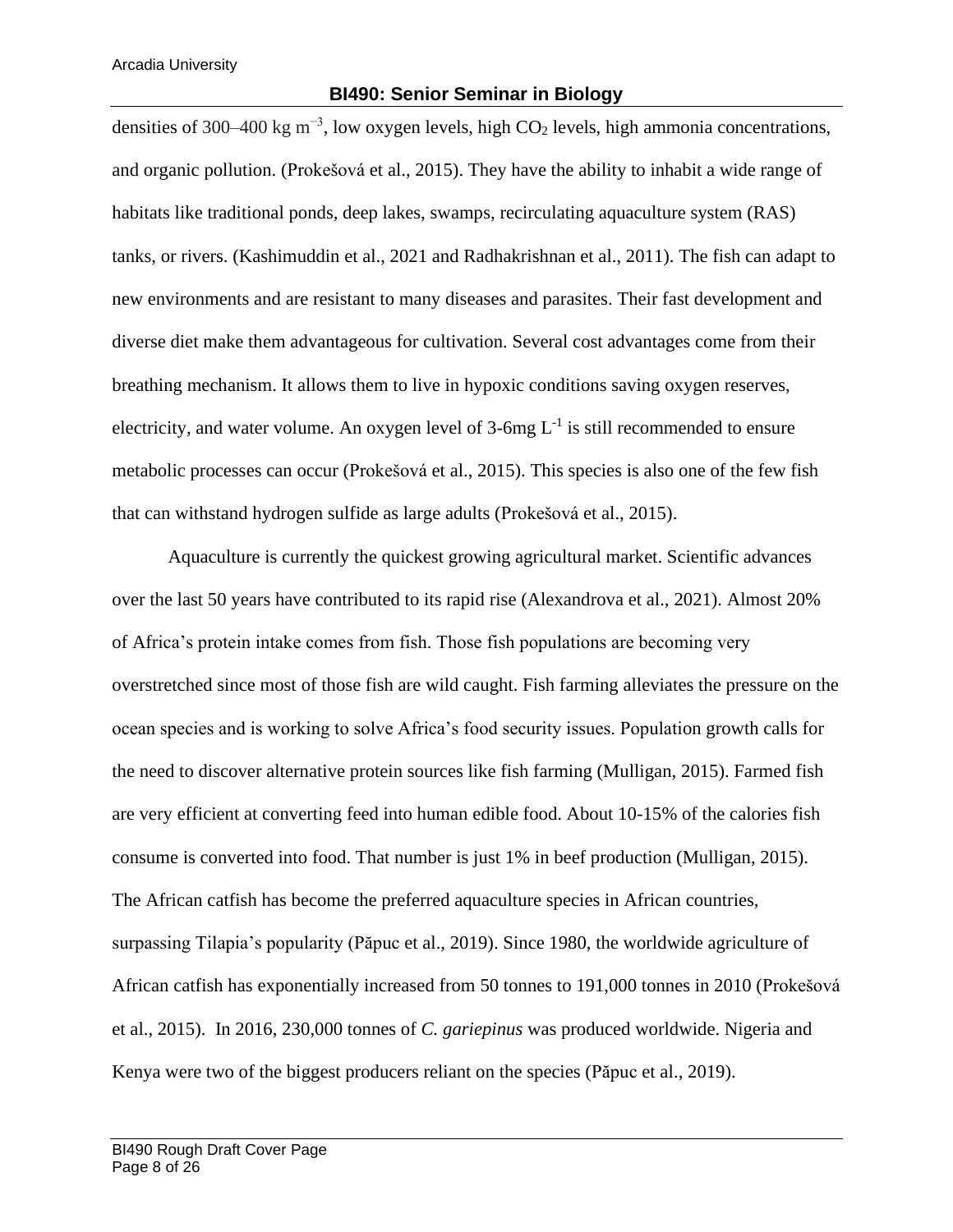densities of 300–400 kg m<sup>-3</sup>, low oxygen levels, high CO<sub>2</sub> levels, high ammonia concentrations, and organic pollution. (Prokešová et al., 2015). They have the ability to inhabit a wide range of habitats like traditional ponds, deep lakes, swamps, recirculating aquaculture system (RAS) tanks, or rivers. (Kashimuddin et al., 2021 and Radhakrishnan et al., 2011). The fish can adapt to new environments and are resistant to many diseases and parasites. Their fast development and diverse diet make them advantageous for cultivation. Several cost advantages come from their breathing mechanism. It allows them to live in hypoxic conditions saving oxygen reserves, electricity, and water volume. An oxygen level of  $3$ -6mg  $L^{-1}$  is still recommended to ensure metabolic processes can occur (Prokešová et al., 2015). This species is also one of the few fish that can withstand hydrogen sulfide as large adults (Prokešová et al., 2015).

Aquaculture is currently the quickest growing agricultural market. Scientific advances over the last 50 years have contributed to its rapid rise (Alexandrova et al., 2021). Almost 20% of Africa's protein intake comes from fish. Those fish populations are becoming very overstretched since most of those fish are wild caught. Fish farming alleviates the pressure on the ocean species and is working to solve Africa's food security issues. Population growth calls for the need to discover alternative protein sources like fish farming (Mulligan, 2015). Farmed fish are very efficient at converting feed into human edible food. About 10-15% of the calories fish consume is converted into food. That number is just 1% in beef production (Mulligan, 2015). The African catfish has become the preferred aquaculture species in African countries, surpassing Tilapia's popularity (Păpuc et al., 2019). Since 1980, the worldwide agriculture of African catfish has exponentially increased from 50 tonnes to 191,000 tonnes in 2010 (Prokešová et al., 2015). In 2016, 230,000 tonnes of *C. gariepinus* was produced worldwide. Nigeria and Kenya were two of the biggest producers reliant on the species (Păpuc et al., 2019).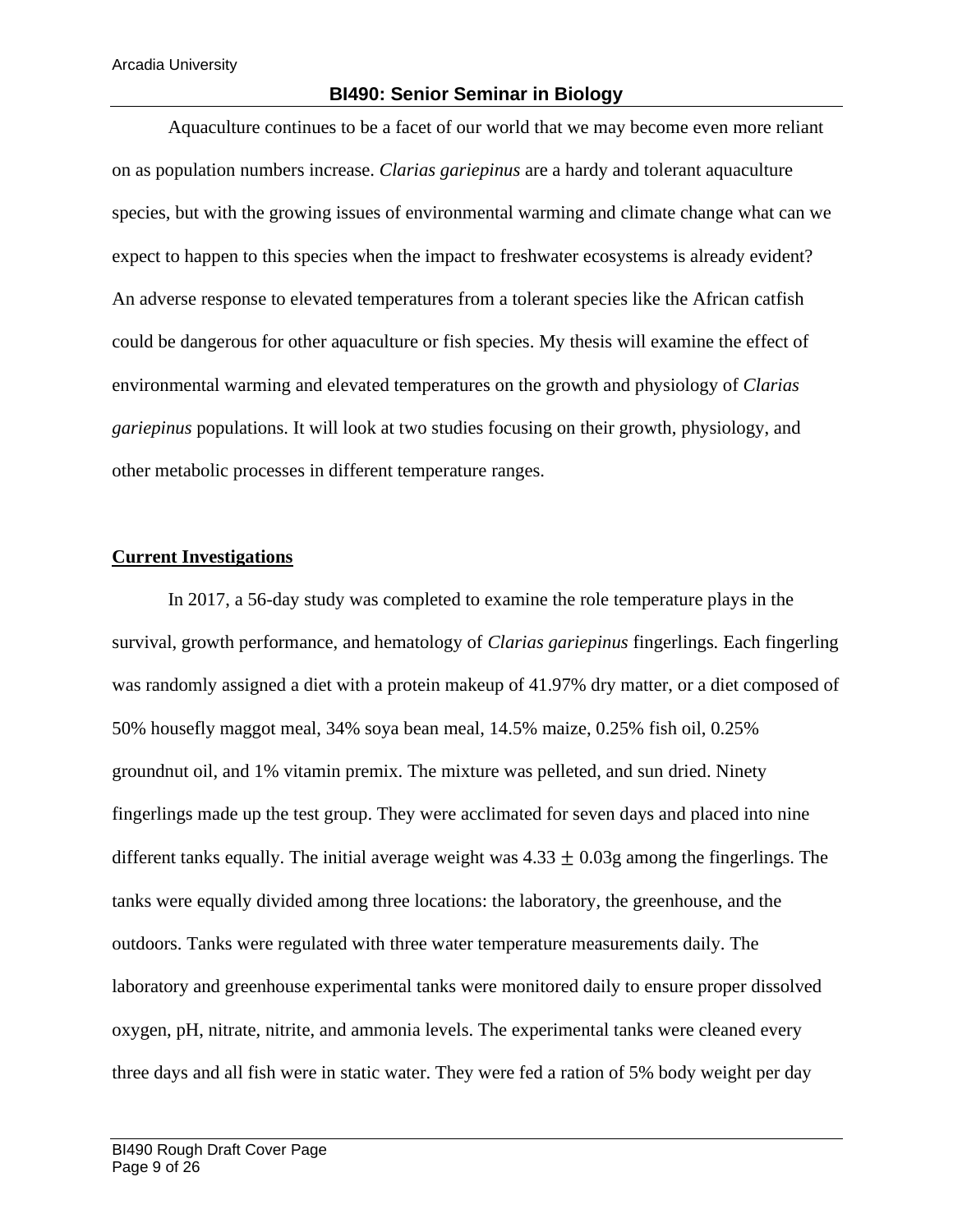Aquaculture continues to be a facet of our world that we may become even more reliant on as population numbers increase. *Clarias gariepinus* are a hardy and tolerant aquaculture species, but with the growing issues of environmental warming and climate change what can we expect to happen to this species when the impact to freshwater ecosystems is already evident? An adverse response to elevated temperatures from a tolerant species like the African catfish could be dangerous for other aquaculture or fish species. My thesis will examine the effect of environmental warming and elevated temperatures on the growth and physiology of *Clarias gariepinus* populations. It will look at two studies focusing on their growth, physiology, and other metabolic processes in different temperature ranges.

## **Current Investigations**

In 2017, a 56-day study was completed to examine the role temperature plays in the survival, growth performance, and hematology of *Clarias gariepinus* fingerlings*.* Each fingerling was randomly assigned a diet with a protein makeup of 41.97% dry matter, or a diet composed of 50% housefly maggot meal, 34% soya bean meal, 14.5% maize, 0.25% fish oil, 0.25% groundnut oil, and 1% vitamin premix. The mixture was pelleted, and sun dried. Ninety fingerlings made up the test group. They were acclimated for seven days and placed into nine different tanks equally. The initial average weight was  $4.33 + 0.03$  among the fingerlings. The tanks were equally divided among three locations: the laboratory, the greenhouse, and the outdoors. Tanks were regulated with three water temperature measurements daily. The laboratory and greenhouse experimental tanks were monitored daily to ensure proper dissolved oxygen, pH, nitrate, nitrite, and ammonia levels. The experimental tanks were cleaned every three days and all fish were in static water. They were fed a ration of 5% body weight per day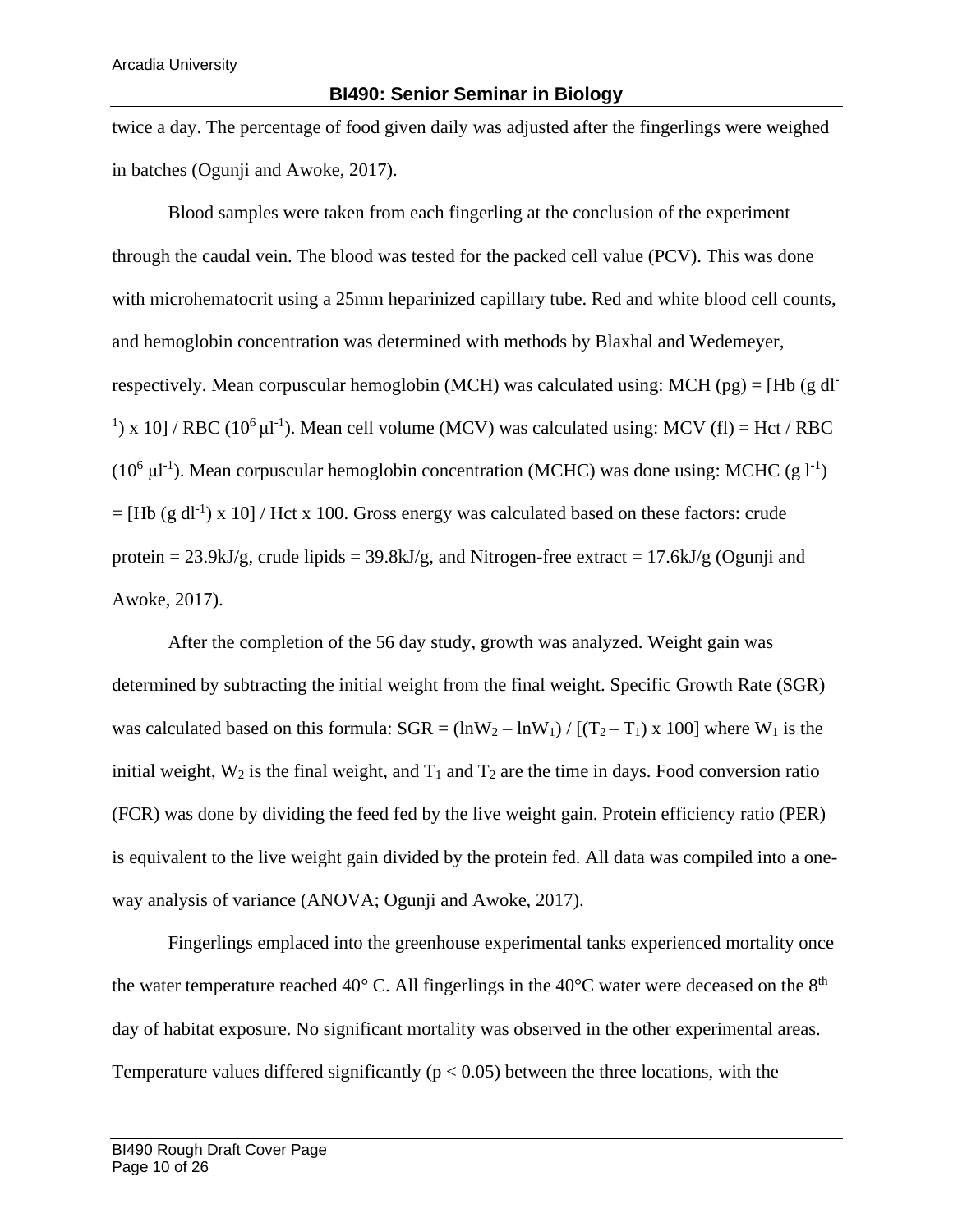twice a day. The percentage of food given daily was adjusted after the fingerlings were weighed in batches (Ogunji and Awoke, 2017).

Blood samples were taken from each fingerling at the conclusion of the experiment through the caudal vein. The blood was tested for the packed cell value (PCV). This was done with microhematocrit using a 25mm heparinized capillary tube. Red and white blood cell counts, and hemoglobin concentration was determined with methods by Blaxhal and Wedemeyer, respectively. Mean corpuscular hemoglobin (MCH) was calculated using: MCH (pg) = [Hb (g dl<sup>-</sup> <sup>1</sup>) x 10] / RBC (10<sup>6</sup>  $\mu$ 1<sup>-1</sup>). Mean cell volume (MCV) was calculated using: MCV (fl) = Hct / RBC ( $10^6$   $\mu$ l<sup>-1</sup>). Mean corpuscular hemoglobin concentration (MCHC) was done using: MCHC (g l<sup>-1</sup>)  $=[Hb (g d<sup>1</sup>) x 10]/Hct x 100$ . Gross energy was calculated based on these factors: crude protein =  $23.9$ kJ/g, crude lipids =  $39.8$ kJ/g, and Nitrogen-free extract =  $17.6$ kJ/g (Ogunji and Awoke, 2017).

After the completion of the 56 day study, growth was analyzed. Weight gain was determined by subtracting the initial weight from the final weight. Specific Growth Rate (SGR) was calculated based on this formula:  $SGR = (lnW_2 - lnW_1) / [(T_2 - T_1) \times 100]$  where  $W_1$  is the initial weight,  $W_2$  is the final weight, and  $T_1$  and  $T_2$  are the time in days. Food conversion ratio (FCR) was done by dividing the feed fed by the live weight gain. Protein efficiency ratio (PER) is equivalent to the live weight gain divided by the protein fed. All data was compiled into a oneway analysis of variance (ANOVA; Ogunji and Awoke, 2017).

Fingerlings emplaced into the greenhouse experimental tanks experienced mortality once the water temperature reached 40 $^{\circ}$  C. All fingerlings in the 40 $^{\circ}$ C water were deceased on the 8<sup>th</sup> day of habitat exposure. No significant mortality was observed in the other experimental areas. Temperature values differed significantly ( $p < 0.05$ ) between the three locations, with the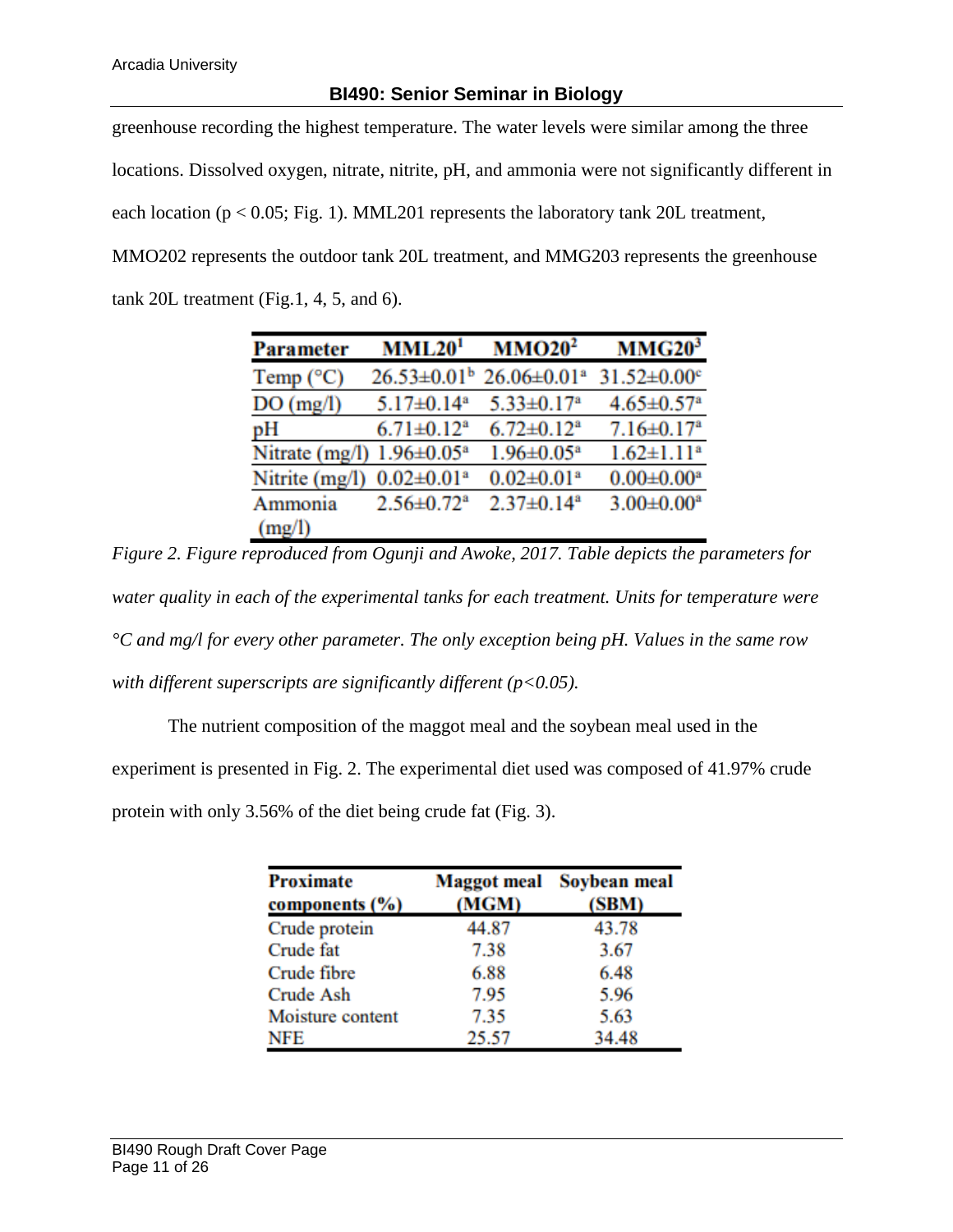greenhouse recording the highest temperature. The water levels were similar among the three locations. Dissolved oxygen, nitrate, nitrite, pH, and ammonia were not significantly different in each location ( $p < 0.05$ ; Fig. 1). MML201 represents the laboratory tank 20L treatment, MMO202 represents the outdoor tank 20L treatment, and MMG203 represents the greenhouse tank 20L treatment (Fig.1, 4, 5, and 6).

| Parameter          | MML20 <sup>1</sup>           | MMO20 <sup>2</sup>            | MMG20 <sup>3</sup>            |
|--------------------|------------------------------|-------------------------------|-------------------------------|
| Temp $(^{\circ}C)$ | $26.53 \pm 0.01^b$           | $26.06 \pm 0.01$ <sup>a</sup> | $31.52 \pm 0.00$ <sup>c</sup> |
| DO(mg/l)           | $5.17 \pm 0.14$ <sup>a</sup> | $5.33 \pm 0.17$ <sup>a</sup>  | $4.65 \pm 0.57$ <sup>a</sup>  |
| pH                 | $6.71 \pm 0.12^a$            | $6.72 \pm 0.12^a$             | $7.16 \pm 0.17$ <sup>a</sup>  |
| Nitrate (mg/l)     | $1.96 \pm 0.05^a$            | $1.96 \pm 0.05^a$             | $1.62 \pm 1.11$ <sup>a</sup>  |
| Nitrite (mg/l)     | $0.02 \pm 0.01$ <sup>a</sup> | $0.02 \pm 0.01$ <sup>a</sup>  | $0.00 \pm 0.00^a$             |
| Ammonia            | $2.56 \pm 0.72$ <sup>a</sup> | $2.37 \pm 0.14$ <sup>a</sup>  | $3.00 \pm 0.00^a$             |
| (mg/l)             |                              |                               |                               |

*Figure 2. Figure reproduced from Ogunji and Awoke, 2017. Table depicts the parameters for water quality in each of the experimental tanks for each treatment. Units for temperature were °C and mg/l for every other parameter. The only exception being pH. Values in the same row with different superscripts are significantly different (p<0.05).*

The nutrient composition of the maggot meal and the soybean meal used in the

experiment is presented in Fig. 2. The experimental diet used was composed of 41.97% crude

protein with only 3.56% of the diet being crude fat (Fig. 3).

| <b>Proximate</b>   |       | <b>Maggot meal</b> Soybean meal |  |
|--------------------|-------|---------------------------------|--|
| components $(\% )$ | (MGM) | (SBM)                           |  |
| Crude protein      | 44.87 | 43.78                           |  |
| Crude fat          | 7.38  | 3.67                            |  |
| Crude fibre        | 6.88  | 6.48                            |  |
| Crude Ash          | 7.95  | 5.96                            |  |
| Moisture content   | 7.35  | 5.63                            |  |
| NFE                | 25.57 | 34.48                           |  |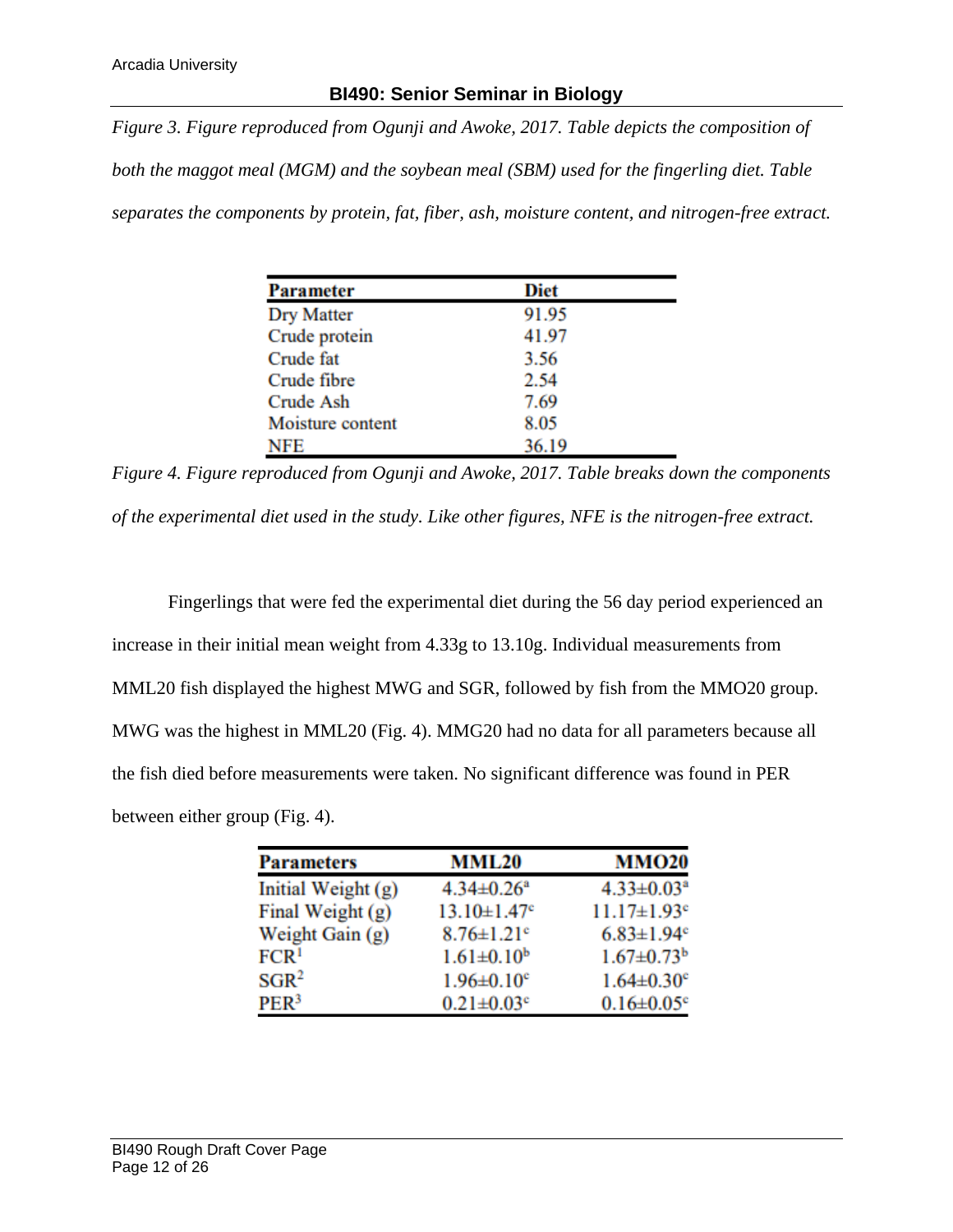*Figure 3. Figure reproduced from Ogunji and Awoke, 2017. Table depicts the composition of* 

*both the maggot meal (MGM) and the soybean meal (SBM) used for the fingerling diet. Table* 

*separates the components by protein, fat, fiber, ash, moisture content, and nitrogen-free extract.* 

| <b>Parameter</b>  | Diet  |
|-------------------|-------|
| <b>Dry Matter</b> | 91.95 |
| Crude protein     | 41.97 |
| Crude fat         | 3.56  |
| Crude fibre       | 2.54  |
| Crude Ash         | 7.69  |
| Moisture content  | 8.05  |
| <b>NFE</b>        | 36.19 |

*Figure 4. Figure reproduced from Ogunji and Awoke, 2017. Table breaks down the components of the experimental diet used in the study. Like other figures, NFE is the nitrogen-free extract.* 

Fingerlings that were fed the experimental diet during the 56 day period experienced an increase in their initial mean weight from 4.33g to 13.10g. Individual measurements from MML20 fish displayed the highest MWG and SGR, followed by fish from the MMO20 group. MWG was the highest in MML20 (Fig. 4). MMG20 had no data for all parameters because all the fish died before measurements were taken. No significant difference was found in PER between either group (Fig. 4).

| <b>Parameters</b>  | <b>MML20</b>                  | <b>MMO20</b>                  |  |
|--------------------|-------------------------------|-------------------------------|--|
| Initial Weight (g) | $4.34 \pm 0.26$ <sup>a</sup>  | $4.33 \pm 0.03^a$             |  |
| Final Weight (g)   | $13.10 \pm 1.47$ <sup>c</sup> | $11.17 \pm 1.93$ <sup>e</sup> |  |
| Weight Gain (g)    | $8.76 \pm 1.21$ <sup>c</sup>  | $6.83 \pm 1.94$ <sup>c</sup>  |  |
| FCR <sup>1</sup>   | $1.61 \pm 0.10^b$             | $1.67 \pm 0.73$ <sup>b</sup>  |  |
| SGR <sup>2</sup>   | $1.96 \pm 0.10^{\circ}$       | $1.64 \pm 0.30$ <sup>c</sup>  |  |
| PER <sup>3</sup>   | $0.21 \pm 0.03$ <sup>c</sup>  | $0.16 \pm 0.05$ <sup>c</sup>  |  |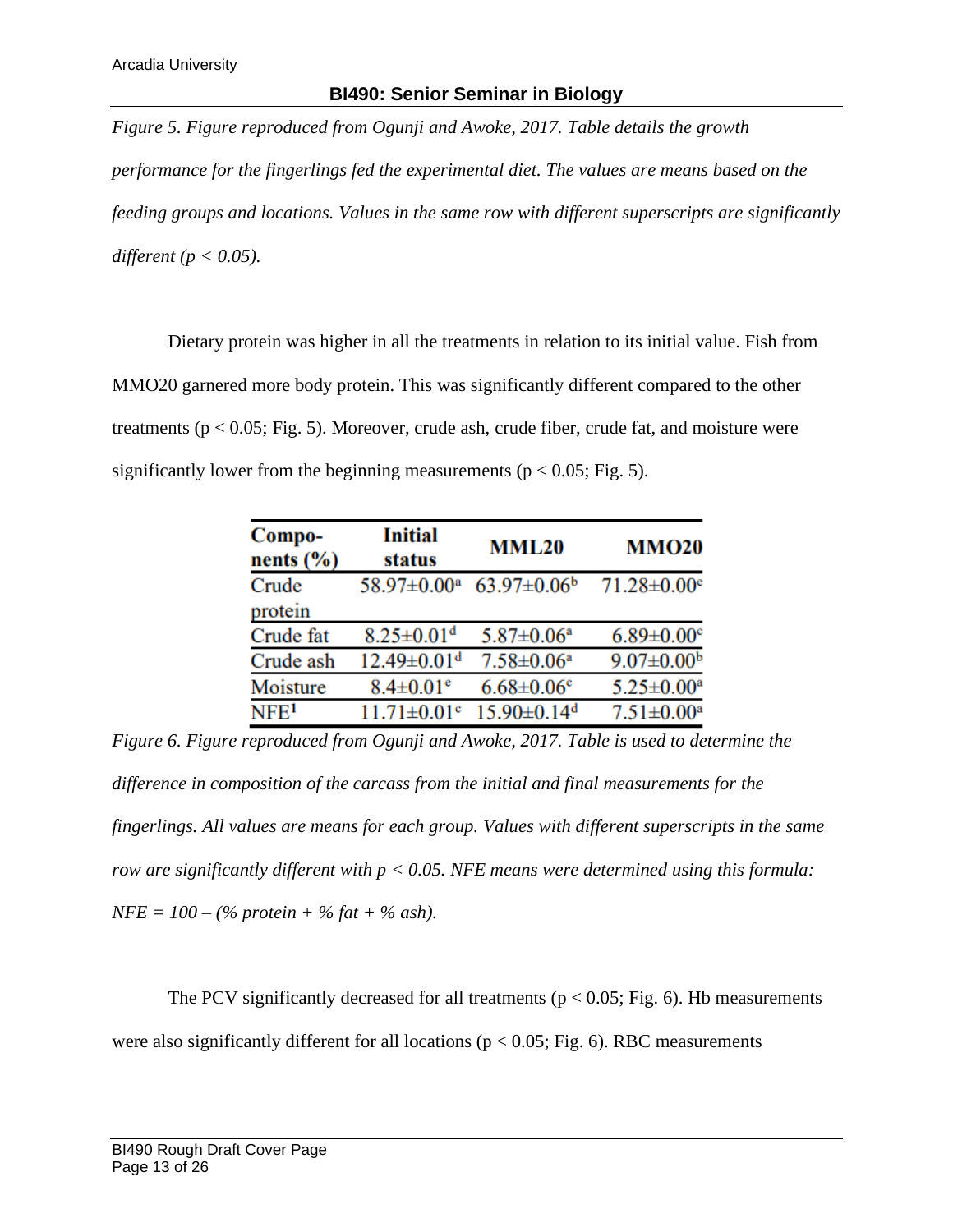*Figure 5. Figure reproduced from Ogunji and Awoke, 2017. Table details the growth performance for the fingerlings fed the experimental diet. The values are means based on the feeding groups and locations. Values in the same row with different superscripts are significantly different (p < 0.05).*

Dietary protein was higher in all the treatments in relation to its initial value. Fish from MMO20 garnered more body protein. This was significantly different compared to the other treatments ( $p < 0.05$ ; Fig. 5). Moreover, crude ash, crude fiber, crude fat, and moisture were significantly lower from the beginning measurements ( $p < 0.05$ ; Fig. 5).

| Compo-<br>nents $(\% )$ | <b>Initial</b><br>status      | <b>MML20</b>                  | <b>MMO20</b>                  |
|-------------------------|-------------------------------|-------------------------------|-------------------------------|
| Crude                   | 58.97±0.00 <sup>a</sup>       | $63.97 \pm 0.06^b$            | $71.28 \pm 0.00$ <sup>e</sup> |
| protein                 |                               |                               |                               |
| Crude fat               | $8.25 \pm 0.01$ <sup>d</sup>  | $5.87 \pm 0.06^a$             | $6.89 \pm 0.00$ <sup>c</sup>  |
| Crude ash               | $12.49 \pm 0.01$ <sup>d</sup> | $7.58 \pm 0.06^a$             | $9.07 \pm 0.00$ <sup>b</sup>  |
| Moisture                | $8.4 \pm 0.01$ <sup>e</sup>   | $6.68 \pm 0.06$ <sup>c</sup>  | $5.25 \pm 0.00^a$             |
| NFE <sup>1</sup>        | $11.71 \pm 0.01$ <sup>c</sup> | $15.90 \pm 0.14$ <sup>d</sup> | $7.51 \pm 0.00^a$             |

*Figure 6. Figure reproduced from Ogunji and Awoke, 2017. Table is used to determine the difference in composition of the carcass from the initial and final measurements for the fingerlings. All values are means for each group. Values with different superscripts in the same row are significantly different with p < 0.05. NFE means were determined using this formula: NFE = 100 – (% protein + % fat + % ash).* 

The PCV significantly decreased for all treatments ( $p < 0.05$ ; Fig. 6). Hb measurements were also significantly different for all locations ( $p < 0.05$ ; Fig. 6). RBC measurements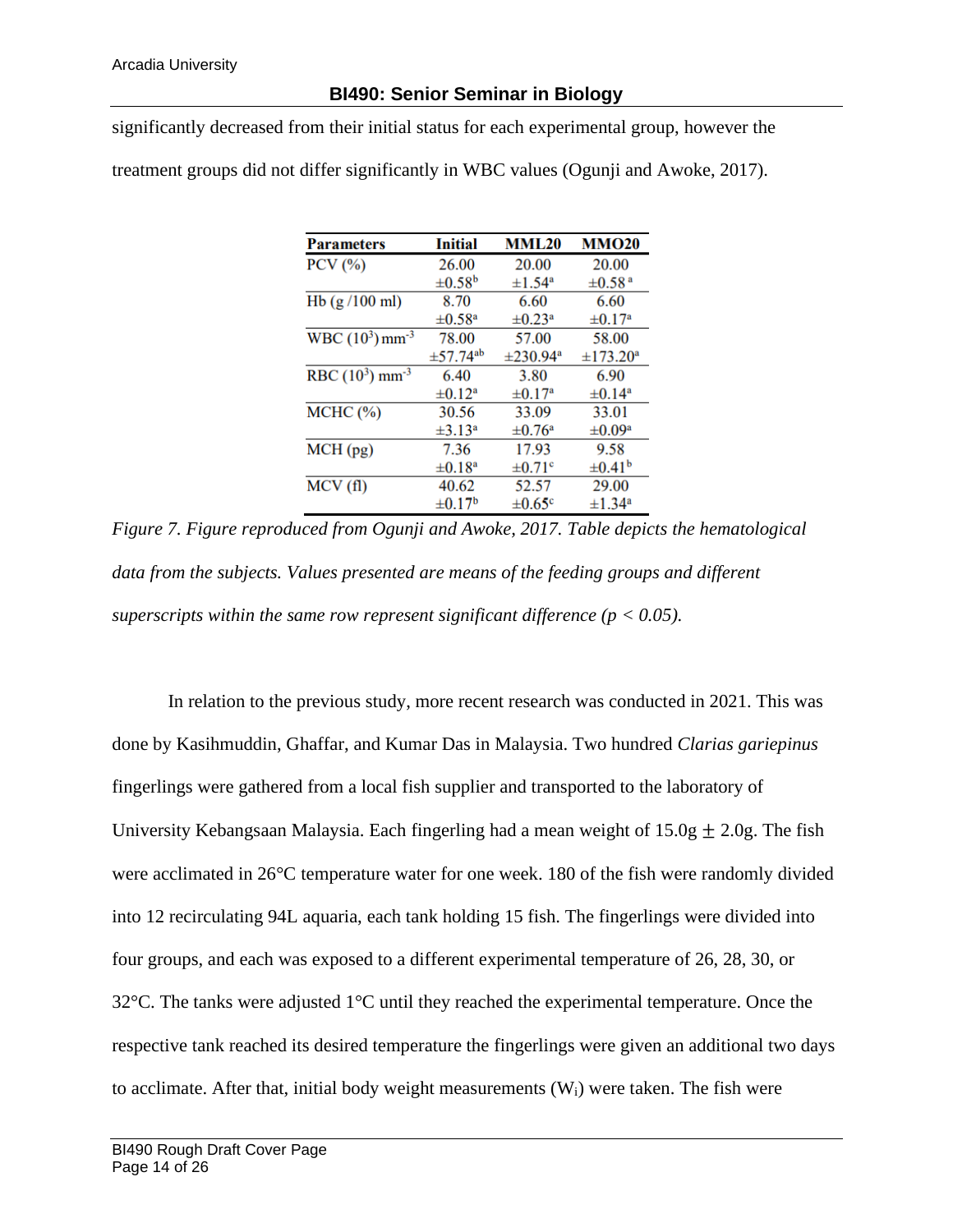significantly decreased from their initial status for each experimental group, however the

treatment groups did not differ significantly in WBC values (Ogunji and Awoke, 2017).

| <b>Parameters</b>             | Initial                   | <b>MML20</b>            | <b>MMO20</b>            |
|-------------------------------|---------------------------|-------------------------|-------------------------|
| $PCV$ $(\%)$                  | 26.00                     | 20.00                   | 20.00                   |
|                               | $\pm 0.58^{\rm b}$        | $\pm 1.54$ <sup>a</sup> | $\pm 0.58$ <sup>a</sup> |
| Hb $(g/100$ ml)               | 8.70                      | 6.60                    | 6.60                    |
|                               | $\pm 0.58$ <sup>a</sup>   | $\pm 0.23$ <sup>a</sup> | $\pm 0.17$ <sup>a</sup> |
| $WBC (10^3) mm^{-3}$          | 78.00                     | 57.00                   | 58.00                   |
|                               | $\pm$ 57.74 <sup>ab</sup> | $\pm 230.94^{\circ}$    | $\pm 173.20^{\rm a}$    |
| RBC $(10^3)$ mm <sup>-3</sup> | 6.40                      | 3.80                    | 6.90                    |
|                               | $\pm 0.12^{\mathrm{a}}$   | $\pm 0.17$ <sup>a</sup> | $\pm 0.14^{\rm a}$      |
| $MCHC$ $(\% )$                | 30.56                     | 33.09                   | 33.01                   |
|                               | $\pm 3.13^{\circ}$        | $\pm 0.76$ <sup>a</sup> | $\pm 0.09^{\mathrm{a}}$ |
| MCH(pg)                       | 7.36                      | 17.93                   | 9.58                    |
|                               | $\pm 0.18^{\mathrm{a}}$   | $\pm 0.71$ <sup>c</sup> | $\pm 0.41^{\rm b}$      |
| MCV(f)                        | 40.62                     | 52.57                   | 29.00                   |
|                               | $\pm 0.17^{\rm b}$        | $\pm 0.65^{\circ}$      | $\pm 1.34$ <sup>a</sup> |

*Figure 7. Figure reproduced from Ogunji and Awoke, 2017. Table depicts the hematological data from the subjects. Values presented are means of the feeding groups and different superscripts within the same row represent significant difference (* $p < 0.05$ *).* 

In relation to the previous study, more recent research was conducted in 2021. This was done by Kasihmuddin, Ghaffar, and Kumar Das in Malaysia. Two hundred *Clarias gariepinus* fingerlings were gathered from a local fish supplier and transported to the laboratory of University Kebangsaan Malaysia. Each fingerling had a mean weight of  $15.0g \pm 2.0g$ . The fish were acclimated in 26°C temperature water for one week. 180 of the fish were randomly divided into 12 recirculating 94L aquaria, each tank holding 15 fish. The fingerlings were divided into four groups, and each was exposed to a different experimental temperature of 26, 28, 30, or 32°C. The tanks were adjusted 1°C until they reached the experimental temperature. Once the respective tank reached its desired temperature the fingerlings were given an additional two days to acclimate. After that, initial body weight measurements  $(W_i)$  were taken. The fish were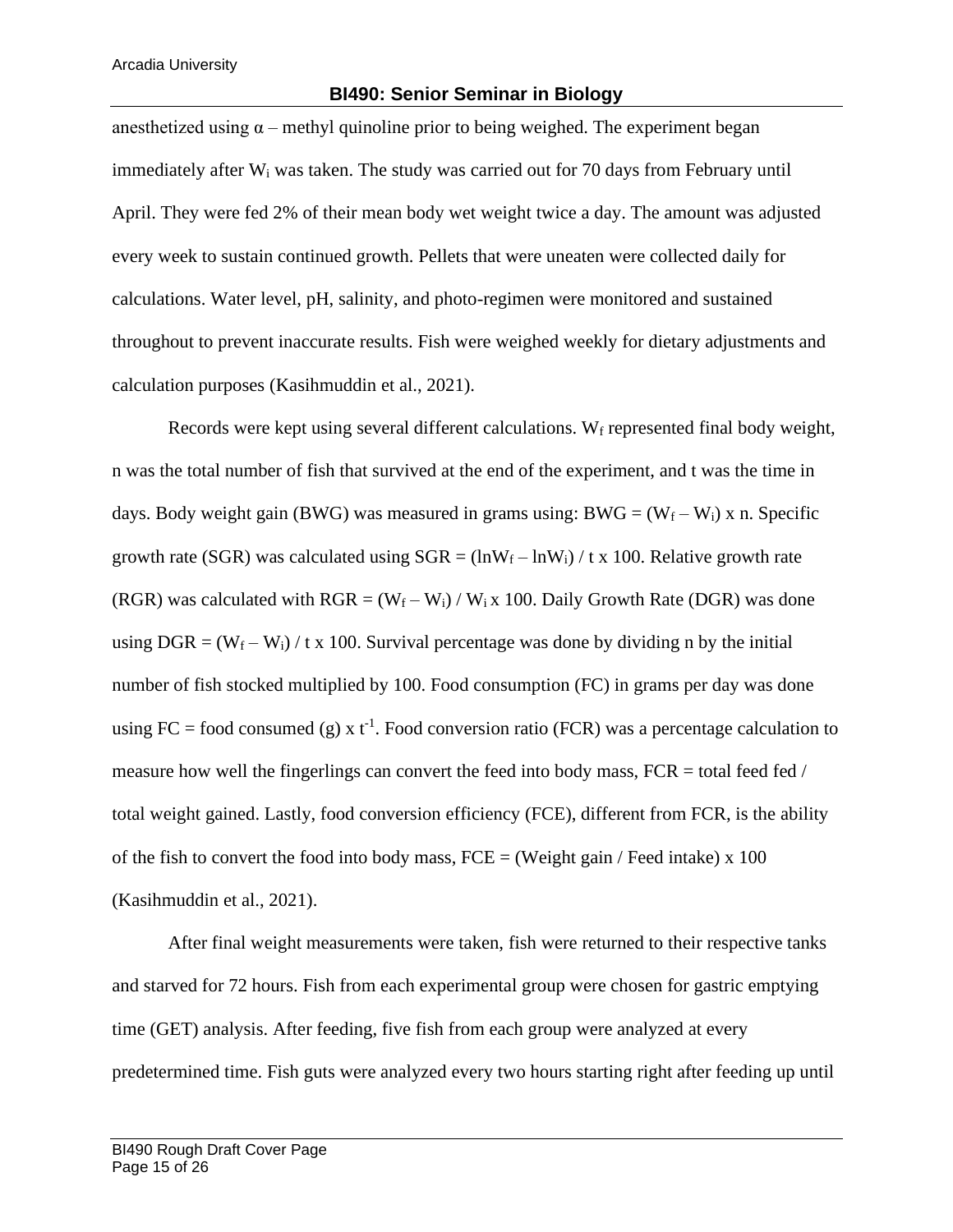#### **BI490: Senior Seminar in Biology**

anesthetized using  $\alpha$  – methyl quinoline prior to being weighed. The experiment began immediately after  $W_i$  was taken. The study was carried out for 70 days from February until April. They were fed 2% of their mean body wet weight twice a day. The amount was adjusted every week to sustain continued growth. Pellets that were uneaten were collected daily for calculations. Water level, pH, salinity, and photo-regimen were monitored and sustained throughout to prevent inaccurate results. Fish were weighed weekly for dietary adjustments and calculation purposes (Kasihmuddin et al., 2021).

Records were kept using several different calculations. W $_f$  represented final body weight, n was the total number of fish that survived at the end of the experiment, and t was the time in days. Body weight gain (BWG) was measured in grams using: BWG =  $(W_f - W_i)$  x n. Specific growth rate (SGR) was calculated using  $SGR = (lnW_f - lnW_i)/t$  x 100. Relative growth rate (RGR) was calculated with  $RGR = (W_f - W_i) / W_i x 100$ . Daily Growth Rate (DGR) was done using  $DGR = (W_f - W_i) / t \times 100$ . Survival percentage was done by dividing n by the initial number of fish stocked multiplied by 100. Food consumption (FC) in grams per day was done using FC = food consumed (g) x  $t^{-1}$ . Food conversion ratio (FCR) was a percentage calculation to measure how well the fingerlings can convert the feed into body mass,  $FCR =$  total feed fed  $/$ total weight gained. Lastly, food conversion efficiency (FCE), different from FCR, is the ability of the fish to convert the food into body mass,  $FCE =$  (Weight gain / Feed intake) x 100 (Kasihmuddin et al., 2021).

After final weight measurements were taken, fish were returned to their respective tanks and starved for 72 hours. Fish from each experimental group were chosen for gastric emptying time (GET) analysis. After feeding, five fish from each group were analyzed at every predetermined time. Fish guts were analyzed every two hours starting right after feeding up until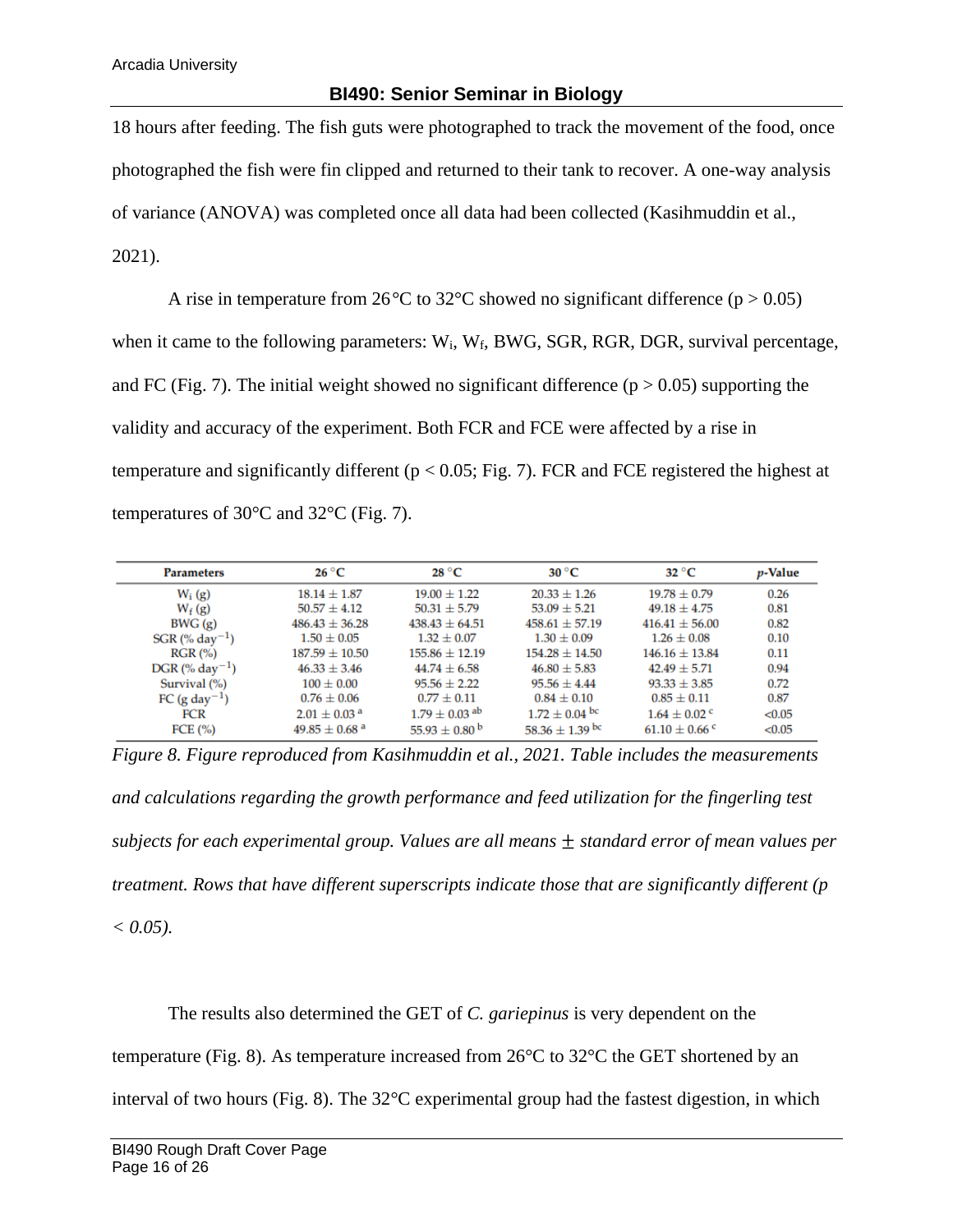18 hours after feeding. The fish guts were photographed to track the movement of the food, once photographed the fish were fin clipped and returned to their tank to recover. A one-way analysis of variance (ANOVA) was completed once all data had been collected (Kasihmuddin et al., 2021).

A rise in temperature from 26<sup>o</sup>C to 32<sup>o</sup>C showed no significant difference ( $p > 0.05$ ) when it came to the following parameters:  $W_i$ ,  $W_f$ , BWG, SGR, RGR, DGR, survival percentage, and FC (Fig. 7). The initial weight showed no significant difference ( $p > 0.05$ ) supporting the validity and accuracy of the experiment. Both FCR and FCE were affected by a rise in temperature and significantly different ( $p < 0.05$ ; Fig. 7). FCR and FCE registered the highest at temperatures of 30°C and 32°C (Fig. 7).

| <b>Parameters</b>            | $26^{\circ}$ C                | 28 °C                         | $30^{\circ}$ C      | $32\text{ °C}$                | <i>p</i> -Value |
|------------------------------|-------------------------------|-------------------------------|---------------------|-------------------------------|-----------------|
| $W_i(g)$                     | $18.14 \pm 1.87$              | $19.00 \pm 1.22$              | $20.33 \pm 1.26$    | $19.78 \pm 0.79$              | 0.26            |
| $W_f(g)$                     | $50.57 \pm 4.12$              | $50.31 \pm 5.79$              | $53.09 \pm 5.21$    | $49.18 \pm 4.75$              | 0.81            |
| BWG(g)                       | $486.43 \pm 36.28$            | $438.43 + 64.51$              | $458.61 \pm 57.19$  | $416.41 \pm 56.00$            | 0.82            |
| $SGR$ (% day <sup>-1</sup> ) | $1.50 \pm 0.05$               | $1.32 \pm 0.07$               | $1.30 \pm 0.09$     | $1.26 \pm 0.08$               | 0.10            |
| RGR (%)                      | $187.59 \pm 10.50$            | $155.86 \pm 12.19$            | $154.28 \pm 14.50$  | $146.16 \pm 13.84$            | 0.11            |
| $DGR$ (% day <sup>-1</sup> ) | $46.33 \pm 3.46$              | $44.74 \pm 6.58$              | $46.80 \pm 5.83$    | $42.49 \pm 5.71$              | 0.94            |
| Survival (%)                 | $100 \pm 0.00$                | $95.56 \pm 2.22$              | $95.56 \pm 4.44$    | $93.33 \pm 3.85$              | 0.72            |
| FC (g day <sup>-1</sup> )    | $0.76 \pm 0.06$               | $0.77 \pm 0.11$               | $0.84 \pm 0.10$     | $0.85 \pm 0.11$               | 0.87            |
| <b>FCR</b>                   | $2.01 \pm 0.03$ <sup>a</sup>  | $1.79 \pm 0.03$ <sup>ab</sup> | $1.72 \pm 0.04$ bc  | $1.64 \pm 0.02$ c             | < 0.05          |
| FCE $(\% )$                  | $49.85 \pm 0.68$ <sup>a</sup> | $55.93 \pm 0.80^{\mathrm{b}}$ | 58.36 $\pm$ 1.39 bc | $61.10 \pm 0.66$ <sup>c</sup> | < 0.05          |
|                              |                               |                               |                     |                               |                 |

*Figure 8. Figure reproduced from Kasihmuddin et al., 2021. Table includes the measurements and calculations regarding the growth performance and feed utilization for the fingerling test subjects for each experimental group. Values are all means* ± *standard error of mean values per treatment. Rows that have different superscripts indicate those that are significantly different (p*   $< 0.05$ ).

The results also determined the GET of *C. gariepinus* is very dependent on the

temperature (Fig. 8). As temperature increased from  $26^{\circ}$ C to  $32^{\circ}$ C the GET shortened by an

interval of two hours (Fig. 8). The 32°C experimental group had the fastest digestion, in which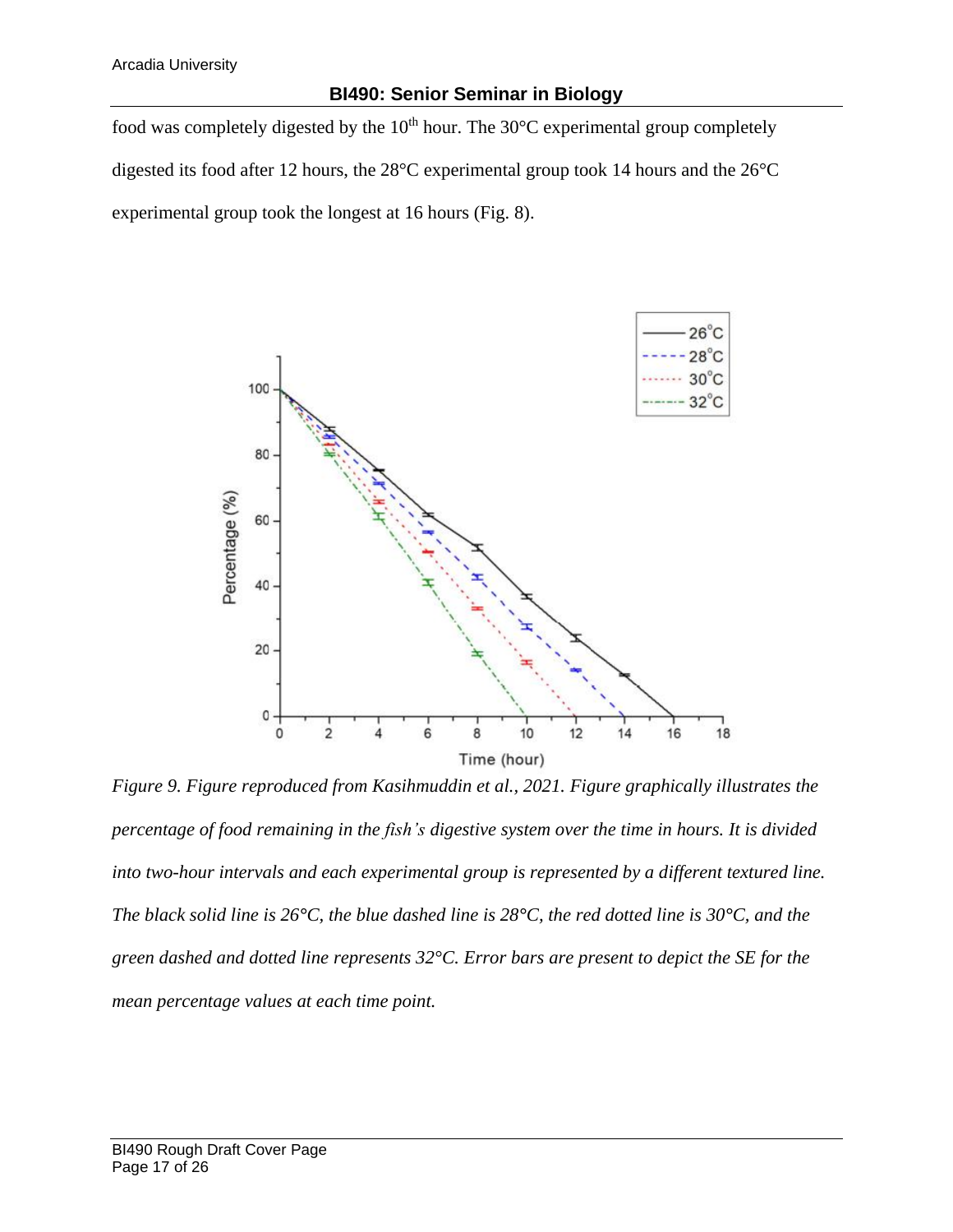food was completely digested by the  $10<sup>th</sup>$  hour. The  $30<sup>o</sup>C$  experimental group completely digested its food after 12 hours, the 28°C experimental group took 14 hours and the 26°C experimental group took the longest at 16 hours (Fig. 8).



*Figure 9. Figure reproduced from Kasihmuddin et al., 2021. Figure graphically illustrates the percentage of food remaining in the fish's digestive system over the time in hours. It is divided into two-hour intervals and each experimental group is represented by a different textured line. The black solid line is 26°C, the blue dashed line is 28°C, the red dotted line is 30°C, and the green dashed and dotted line represents 32°C. Error bars are present to depict the SE for the mean percentage values at each time point.*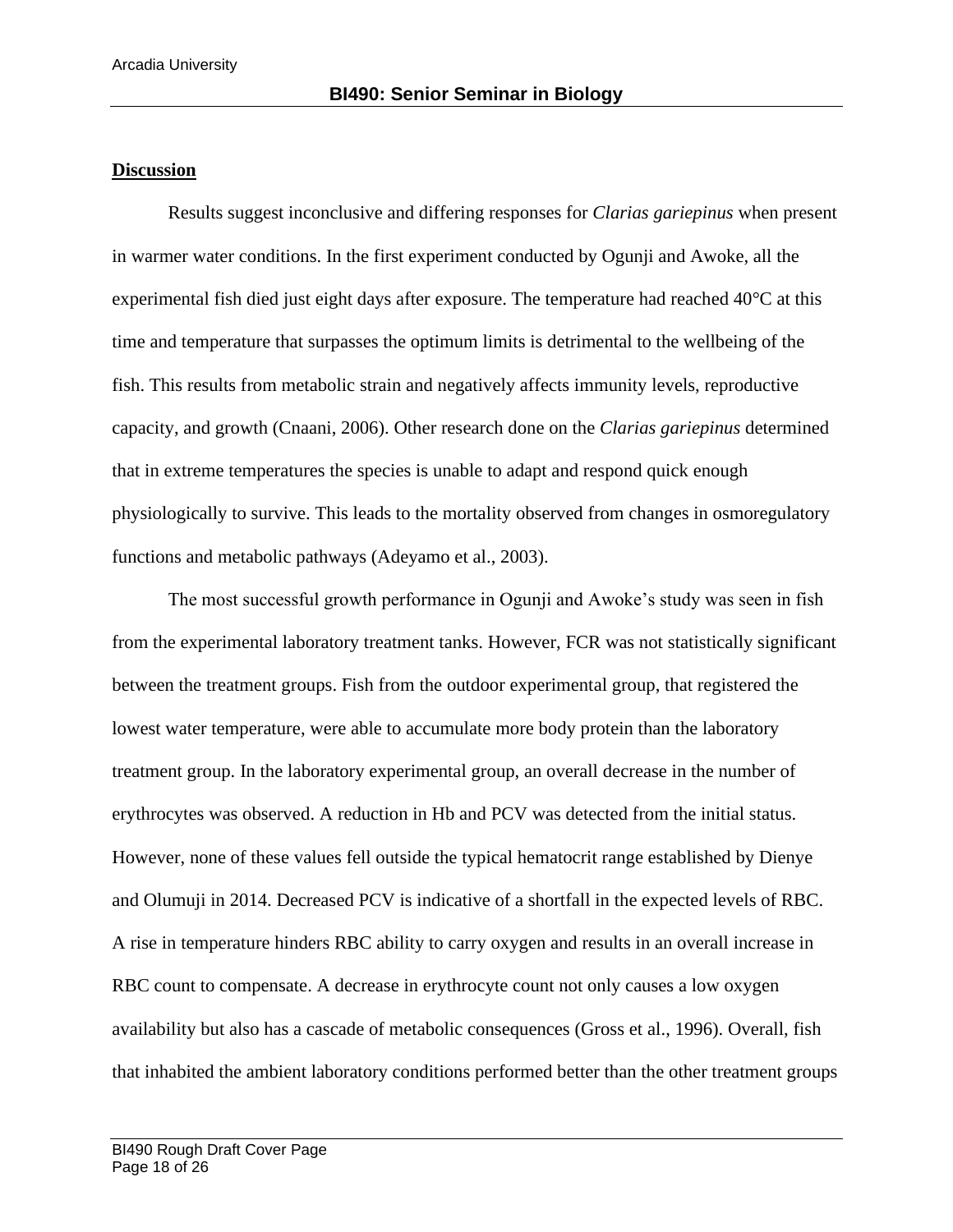#### **Discussion**

Results suggest inconclusive and differing responses for *Clarias gariepinus* when present in warmer water conditions. In the first experiment conducted by Ogunji and Awoke, all the experimental fish died just eight days after exposure. The temperature had reached 40°C at this time and temperature that surpasses the optimum limits is detrimental to the wellbeing of the fish. This results from metabolic strain and negatively affects immunity levels, reproductive capacity, and growth (Cnaani, 2006). Other research done on the *Clarias gariepinus* determined that in extreme temperatures the species is unable to adapt and respond quick enough physiologically to survive. This leads to the mortality observed from changes in osmoregulatory functions and metabolic pathways (Adeyamo et al., 2003).

The most successful growth performance in Ogunji and Awoke's study was seen in fish from the experimental laboratory treatment tanks. However, FCR was not statistically significant between the treatment groups. Fish from the outdoor experimental group, that registered the lowest water temperature, were able to accumulate more body protein than the laboratory treatment group. In the laboratory experimental group, an overall decrease in the number of erythrocytes was observed. A reduction in Hb and PCV was detected from the initial status. However, none of these values fell outside the typical hematocrit range established by Dienye and Olumuji in 2014. Decreased PCV is indicative of a shortfall in the expected levels of RBC. A rise in temperature hinders RBC ability to carry oxygen and results in an overall increase in RBC count to compensate. A decrease in erythrocyte count not only causes a low oxygen availability but also has a cascade of metabolic consequences (Gross et al., 1996). Overall, fish that inhabited the ambient laboratory conditions performed better than the other treatment groups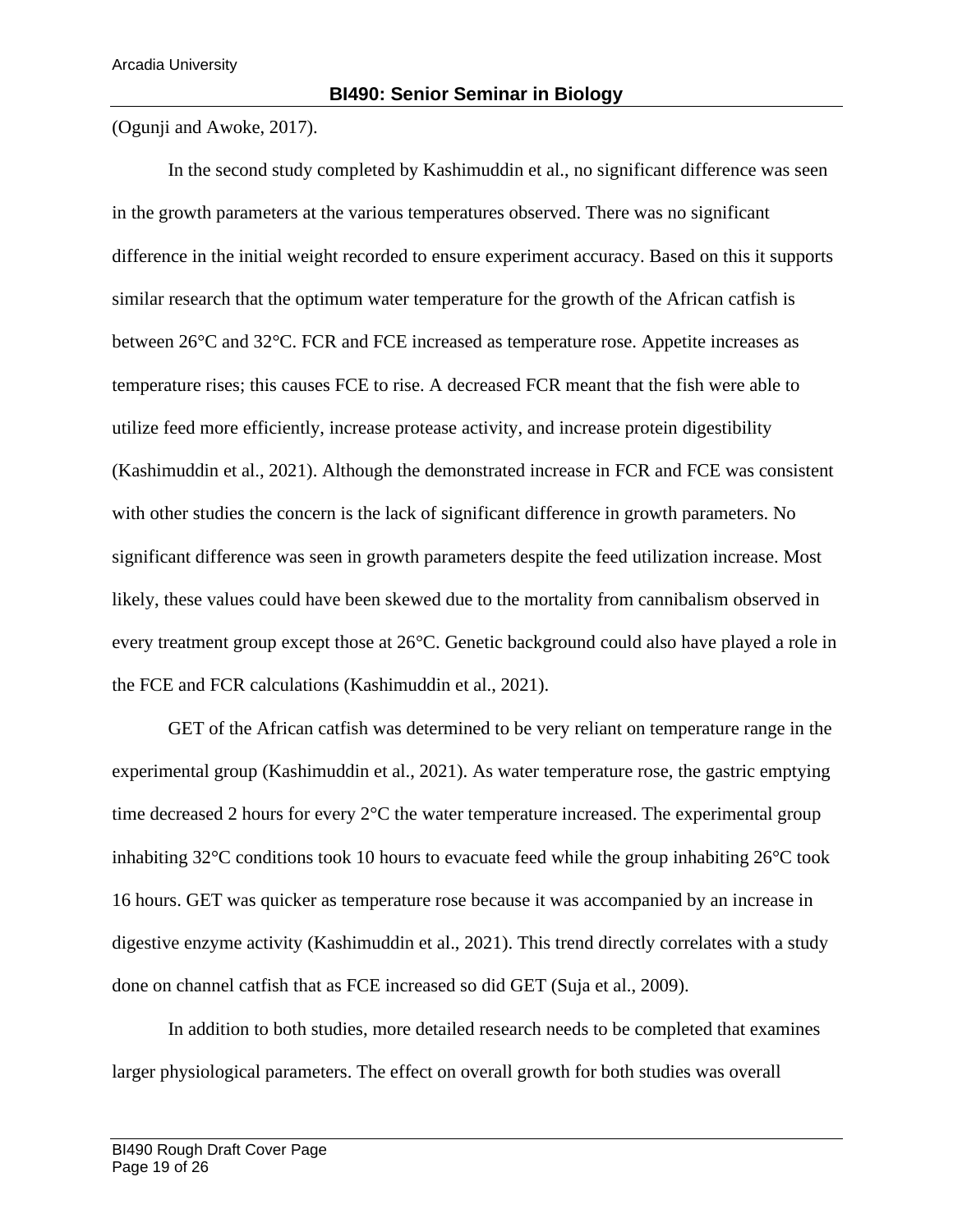(Ogunji and Awoke, 2017).

In the second study completed by Kashimuddin et al., no significant difference was seen in the growth parameters at the various temperatures observed. There was no significant difference in the initial weight recorded to ensure experiment accuracy. Based on this it supports similar research that the optimum water temperature for the growth of the African catfish is between 26°C and 32°C. FCR and FCE increased as temperature rose. Appetite increases as temperature rises; this causes FCE to rise. A decreased FCR meant that the fish were able to utilize feed more efficiently, increase protease activity, and increase protein digestibility (Kashimuddin et al., 2021). Although the demonstrated increase in FCR and FCE was consistent with other studies the concern is the lack of significant difference in growth parameters. No significant difference was seen in growth parameters despite the feed utilization increase. Most likely, these values could have been skewed due to the mortality from cannibalism observed in every treatment group except those at 26°C. Genetic background could also have played a role in the FCE and FCR calculations (Kashimuddin et al., 2021).

GET of the African catfish was determined to be very reliant on temperature range in the experimental group (Kashimuddin et al., 2021). As water temperature rose, the gastric emptying time decreased 2 hours for every 2°C the water temperature increased. The experimental group inhabiting  $32^{\circ}$ C conditions took 10 hours to evacuate feed while the group inhabiting  $26^{\circ}$ C took 16 hours. GET was quicker as temperature rose because it was accompanied by an increase in digestive enzyme activity (Kashimuddin et al., 2021). This trend directly correlates with a study done on channel catfish that as FCE increased so did GET (Suja et al., 2009).

In addition to both studies, more detailed research needs to be completed that examines larger physiological parameters. The effect on overall growth for both studies was overall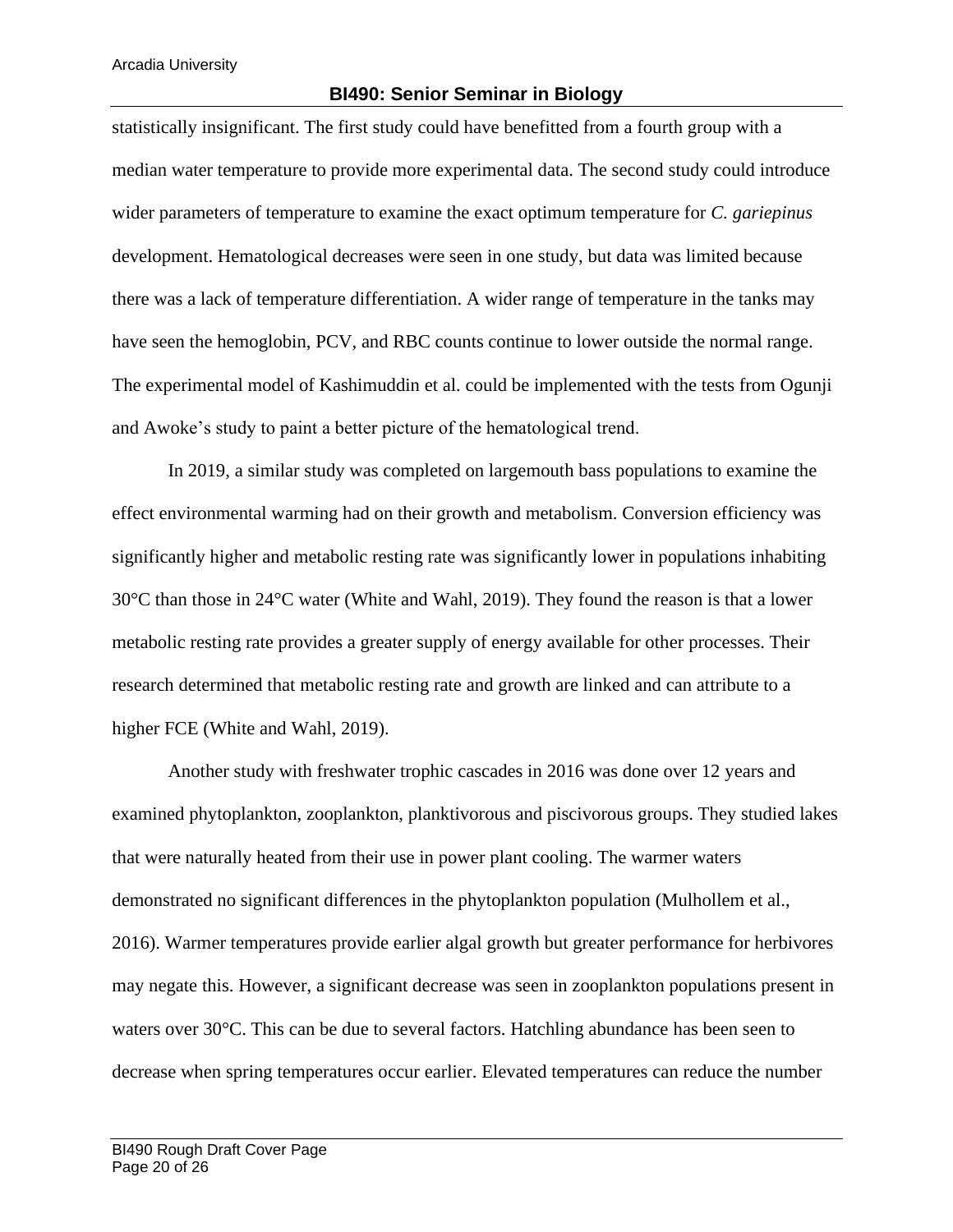statistically insignificant. The first study could have benefitted from a fourth group with a median water temperature to provide more experimental data. The second study could introduce wider parameters of temperature to examine the exact optimum temperature for *C. gariepinus*  development. Hematological decreases were seen in one study, but data was limited because there was a lack of temperature differentiation. A wider range of temperature in the tanks may have seen the hemoglobin, PCV, and RBC counts continue to lower outside the normal range. The experimental model of Kashimuddin et al. could be implemented with the tests from Ogunji and Awoke's study to paint a better picture of the hematological trend.

In 2019, a similar study was completed on largemouth bass populations to examine the effect environmental warming had on their growth and metabolism. Conversion efficiency was significantly higher and metabolic resting rate was significantly lower in populations inhabiting 30°C than those in 24°C water (White and Wahl, 2019). They found the reason is that a lower metabolic resting rate provides a greater supply of energy available for other processes. Their research determined that metabolic resting rate and growth are linked and can attribute to a higher FCE (White and Wahl, 2019).

Another study with freshwater trophic cascades in 2016 was done over 12 years and examined phytoplankton, zooplankton, planktivorous and piscivorous groups. They studied lakes that were naturally heated from their use in power plant cooling. The warmer waters demonstrated no significant differences in the phytoplankton population (Mulhollem et al., 2016). Warmer temperatures provide earlier algal growth but greater performance for herbivores may negate this. However, a significant decrease was seen in zooplankton populations present in waters over 30°C. This can be due to several factors. Hatchling abundance has been seen to decrease when spring temperatures occur earlier. Elevated temperatures can reduce the number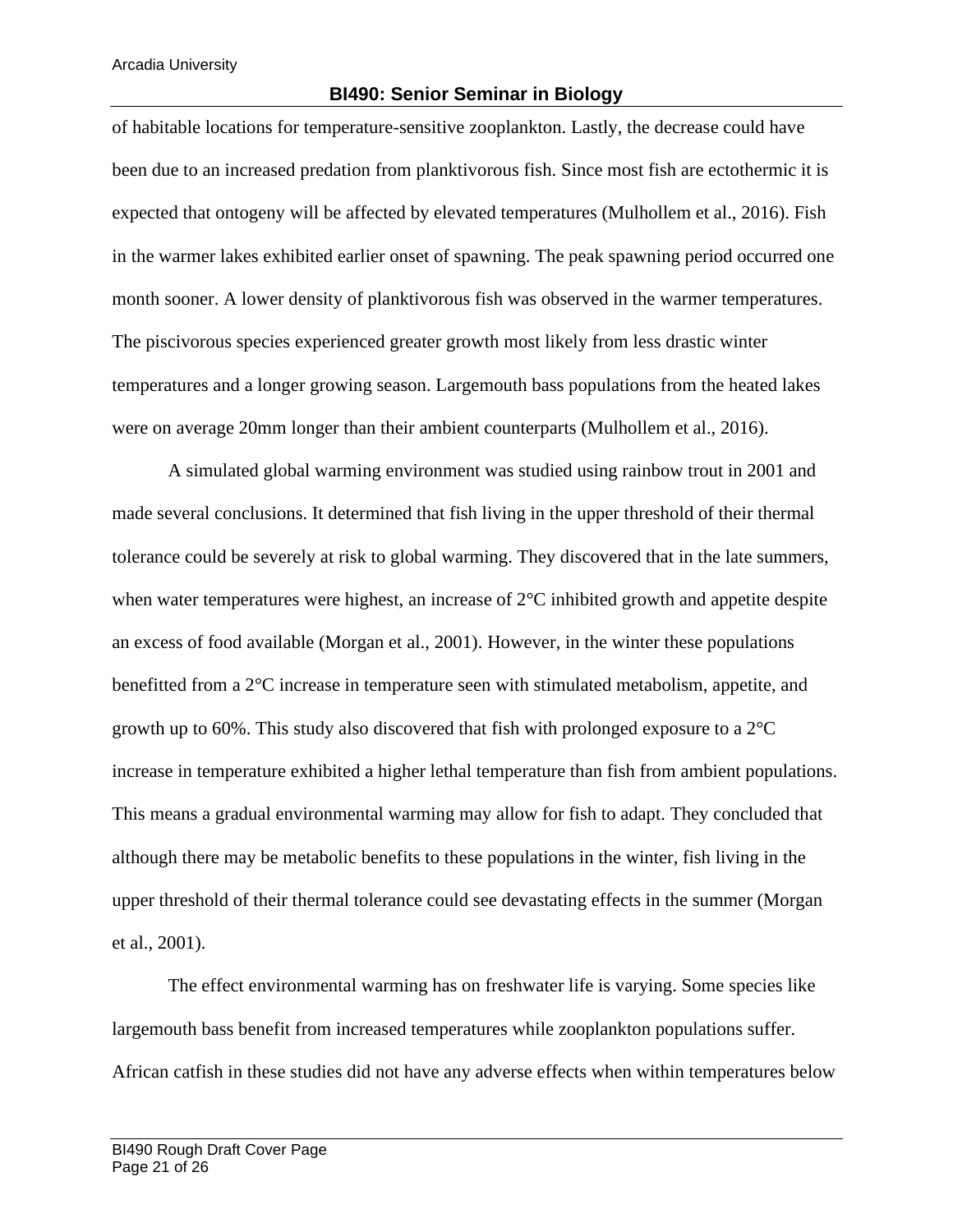#### **BI490: Senior Seminar in Biology**

of habitable locations for temperature-sensitive zooplankton. Lastly, the decrease could have been due to an increased predation from planktivorous fish. Since most fish are ectothermic it is expected that ontogeny will be affected by elevated temperatures (Mulhollem et al., 2016). Fish in the warmer lakes exhibited earlier onset of spawning. The peak spawning period occurred one month sooner. A lower density of planktivorous fish was observed in the warmer temperatures. The piscivorous species experienced greater growth most likely from less drastic winter temperatures and a longer growing season. Largemouth bass populations from the heated lakes were on average 20mm longer than their ambient counterparts (Mulhollem et al., 2016).

A simulated global warming environment was studied using rainbow trout in 2001 and made several conclusions. It determined that fish living in the upper threshold of their thermal tolerance could be severely at risk to global warming. They discovered that in the late summers, when water temperatures were highest, an increase of 2<sup>o</sup>C inhibited growth and appetite despite an excess of food available (Morgan et al., 2001). However, in the winter these populations benefitted from a 2°C increase in temperature seen with stimulated metabolism, appetite, and growth up to 60%. This study also discovered that fish with prolonged exposure to a 2°C increase in temperature exhibited a higher lethal temperature than fish from ambient populations. This means a gradual environmental warming may allow for fish to adapt. They concluded that although there may be metabolic benefits to these populations in the winter, fish living in the upper threshold of their thermal tolerance could see devastating effects in the summer (Morgan et al., 2001).

The effect environmental warming has on freshwater life is varying. Some species like largemouth bass benefit from increased temperatures while zooplankton populations suffer. African catfish in these studies did not have any adverse effects when within temperatures below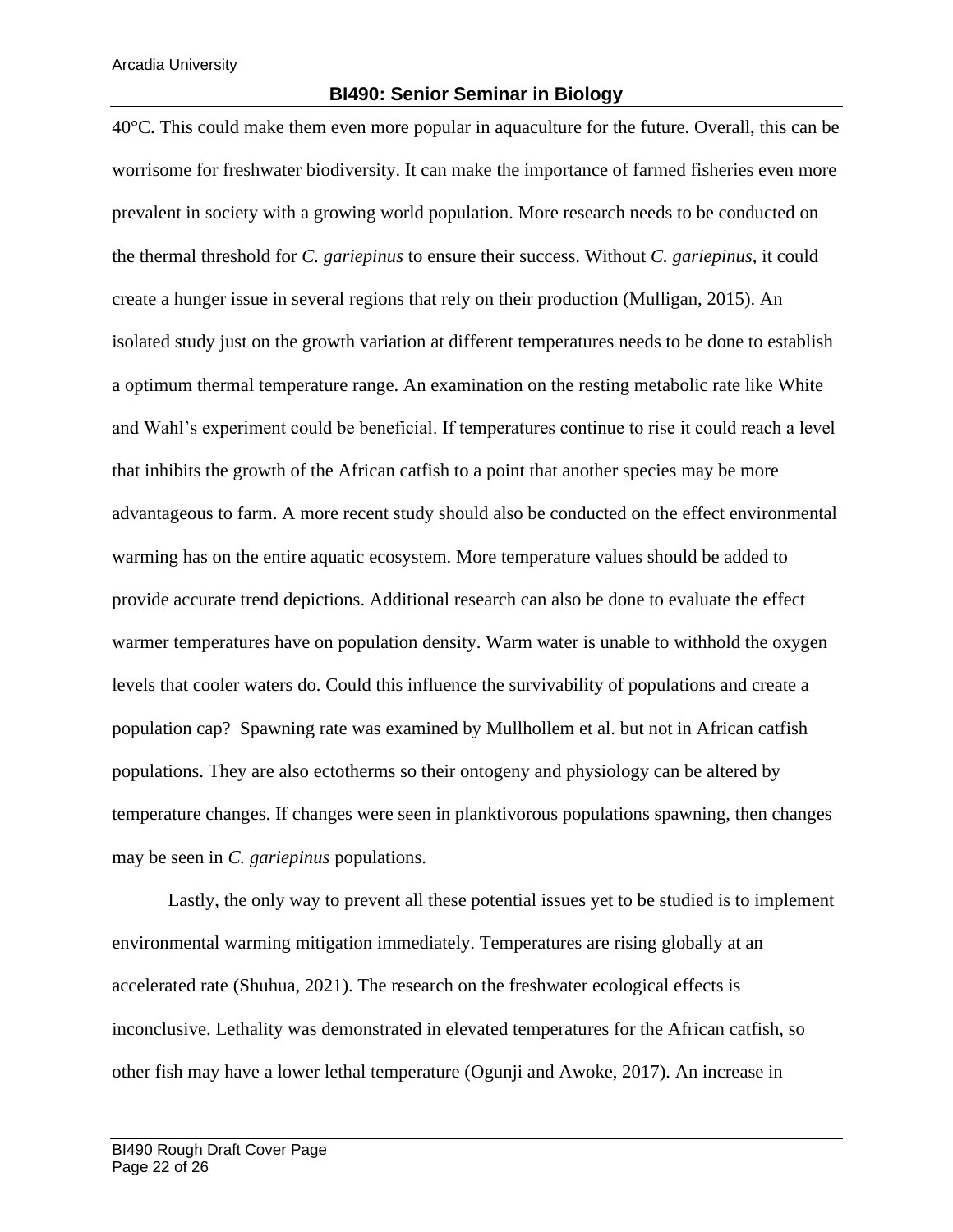#### **BI490: Senior Seminar in Biology**

40°C. This could make them even more popular in aquaculture for the future. Overall, this can be worrisome for freshwater biodiversity. It can make the importance of farmed fisheries even more prevalent in society with a growing world population. More research needs to be conducted on the thermal threshold for *C. gariepinus* to ensure their success. Without *C. gariepinus,* it could create a hunger issue in several regions that rely on their production (Mulligan, 2015). An isolated study just on the growth variation at different temperatures needs to be done to establish a optimum thermal temperature range. An examination on the resting metabolic rate like White and Wahl's experiment could be beneficial. If temperatures continue to rise it could reach a level that inhibits the growth of the African catfish to a point that another species may be more advantageous to farm. A more recent study should also be conducted on the effect environmental warming has on the entire aquatic ecosystem. More temperature values should be added to provide accurate trend depictions. Additional research can also be done to evaluate the effect warmer temperatures have on population density. Warm water is unable to withhold the oxygen levels that cooler waters do. Could this influence the survivability of populations and create a population cap? Spawning rate was examined by Mullhollem et al. but not in African catfish populations. They are also ectotherms so their ontogeny and physiology can be altered by temperature changes. If changes were seen in planktivorous populations spawning, then changes may be seen in *C. gariepinus* populations.

Lastly, the only way to prevent all these potential issues yet to be studied is to implement environmental warming mitigation immediately. Temperatures are rising globally at an accelerated rate (Shuhua, 2021). The research on the freshwater ecological effects is inconclusive. Lethality was demonstrated in elevated temperatures for the African catfish, so other fish may have a lower lethal temperature (Ogunji and Awoke, 2017). An increase in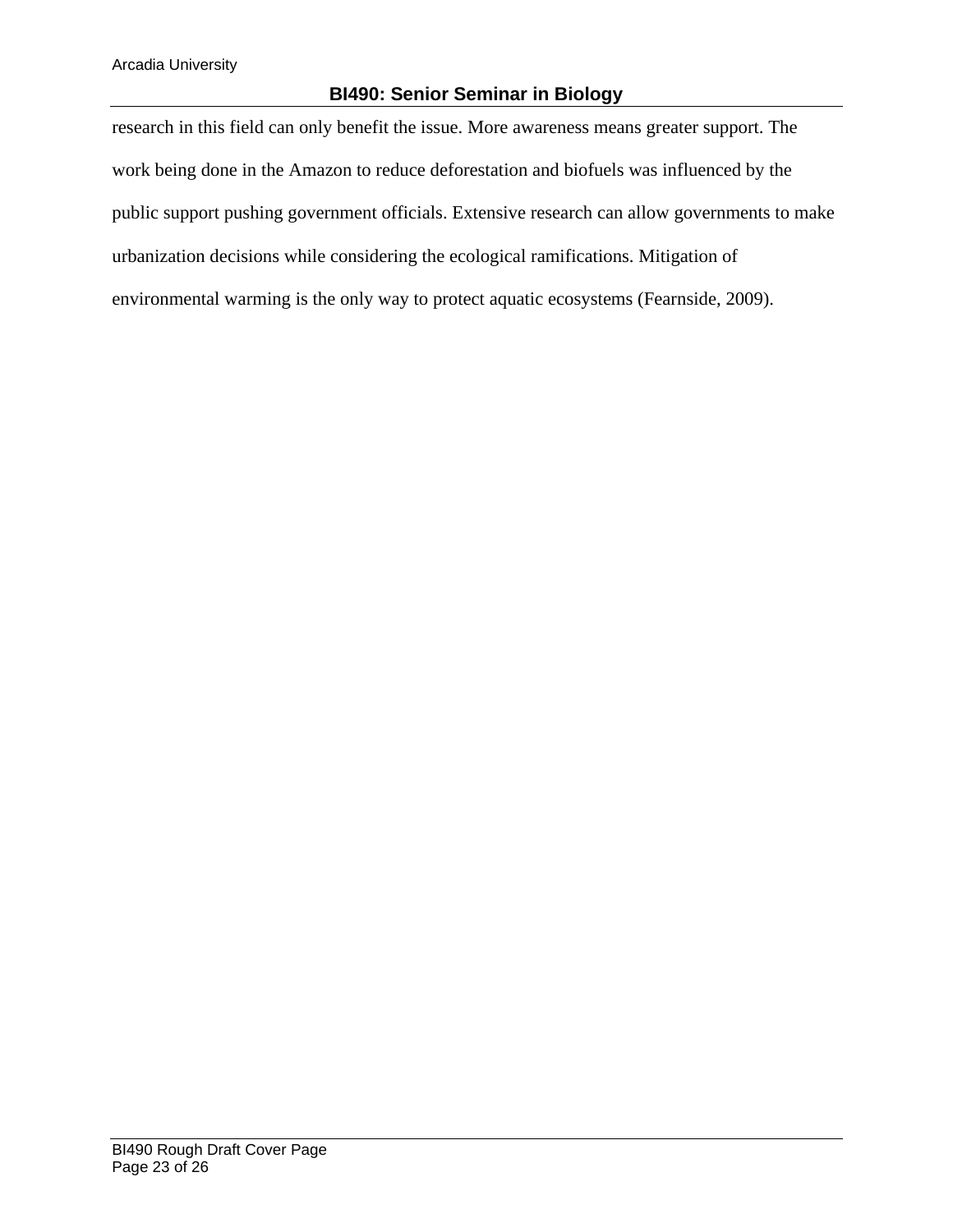research in this field can only benefit the issue. More awareness means greater support. The work being done in the Amazon to reduce deforestation and biofuels was influenced by the public support pushing government officials. Extensive research can allow governments to make urbanization decisions while considering the ecological ramifications. Mitigation of environmental warming is the only way to protect aquatic ecosystems (Fearnside, 2009).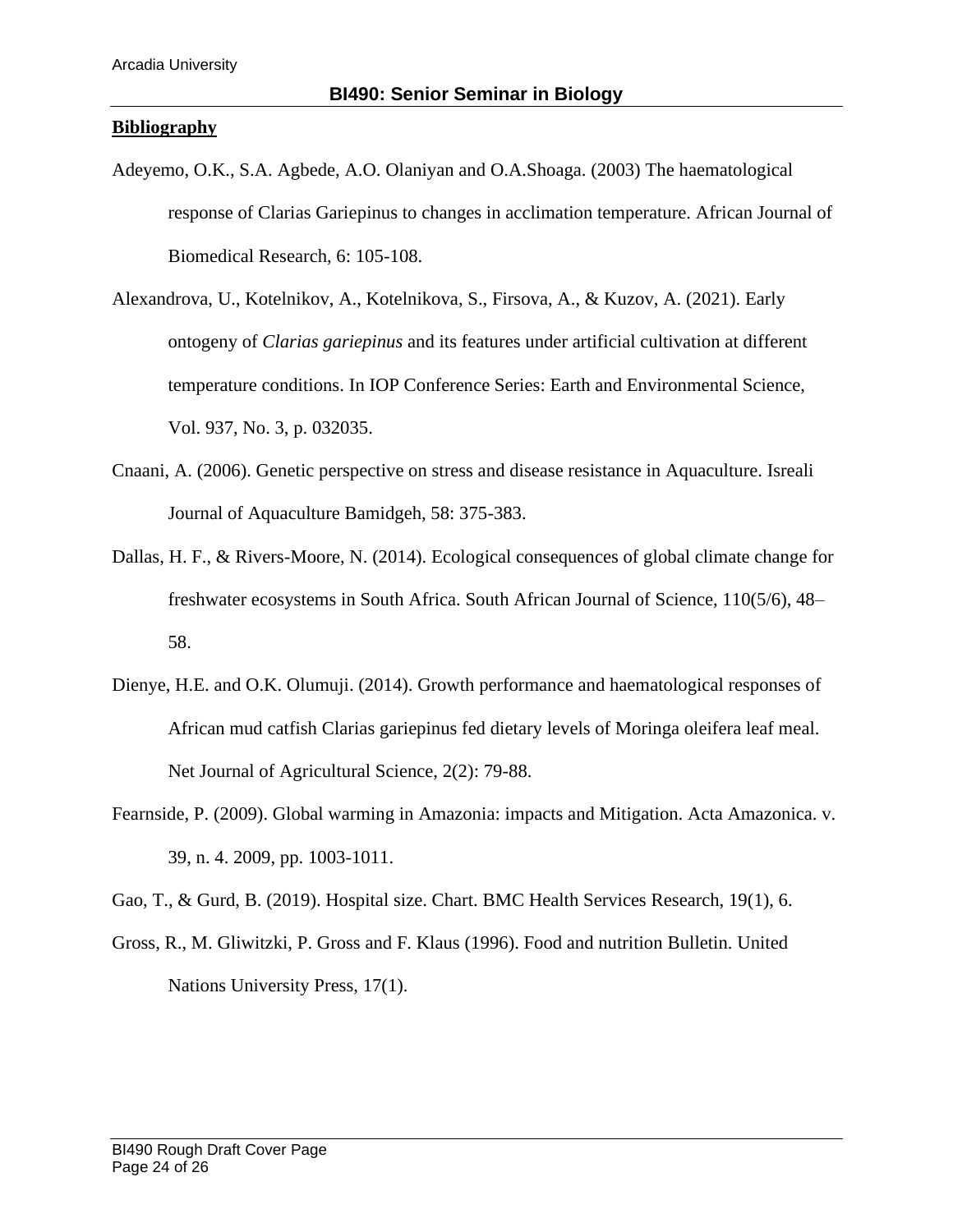#### **Bibliography**

- Adeyemo, O.K., S.A. Agbede, A.O. Olaniyan and O.A.Shoaga. (2003) The haematological response of Clarias Gariepinus to changes in acclimation temperature. African Journal of Biomedical Research, 6: 105-108.
- Alexandrova, U., Kotelnikov, A., Kotelnikova, S., Firsova, A., & Kuzov, A. (2021). Early ontogeny of *Clarias gariepinus* and its features under artificial cultivation at different temperature conditions. In IOP Conference Series: Earth and Environmental Science, Vol. 937, No. 3, p. 032035.
- Cnaani, A. (2006). Genetic perspective on stress and disease resistance in Aquaculture. Isreali Journal of Aquaculture Bamidgeh, 58: 375-383.
- Dallas, H. F., & Rivers-Moore, N. (2014). Ecological consequences of global climate change for freshwater ecosystems in South Africa. South African Journal of Science, 110(5/6), 48– 58.
- Dienye, H.E. and O.K. Olumuji. (2014). Growth performance and haematological responses of African mud catfish Clarias gariepinus fed dietary levels of Moringa oleifera leaf meal. Net Journal of Agricultural Science, 2(2): 79-88.
- Fearnside, P. (2009). Global warming in Amazonia: impacts and Mitigation. Acta Amazonica. v. 39, n. 4. 2009, pp. 1003-1011.

Gao, T., & Gurd, B. (2019). Hospital size. Chart. BMC Health Services Research, 19(1), 6.

Gross, R., M. Gliwitzki, P. Gross and F. Klaus (1996). Food and nutrition Bulletin. United Nations University Press, 17(1).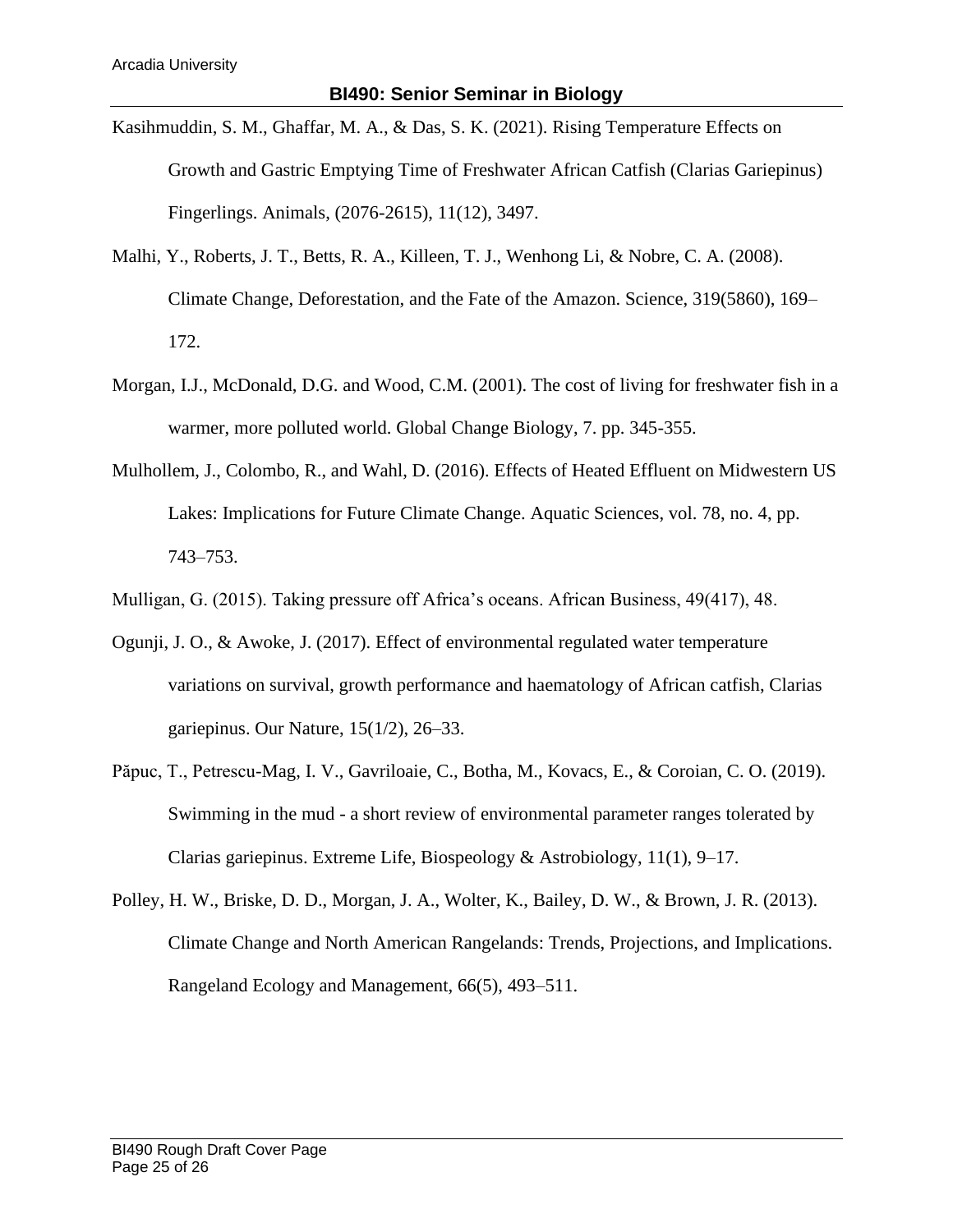- Kasihmuddin, S. M., Ghaffar, M. A., & Das, S. K. (2021). Rising Temperature Effects on Growth and Gastric Emptying Time of Freshwater African Catfish (Clarias Gariepinus) Fingerlings. Animals, (2076-2615), 11(12), 3497.
- Malhi, Y., Roberts, J. T., Betts, R. A., Killeen, T. J., Wenhong Li, & Nobre, C. A. (2008). Climate Change, Deforestation, and the Fate of the Amazon. Science, 319(5860), 169– 172.
- Morgan, I.J., McDonald, D.G. and Wood, C.M. (2001). The cost of living for freshwater fish in a warmer, more polluted world. Global Change Biology, 7. pp. 345-355.
- Mulhollem, J., Colombo, R., and Wahl, D. (2016). Effects of Heated Effluent on Midwestern US Lakes: Implications for Future Climate Change. Aquatic Sciences, vol. 78, no. 4, pp. 743–753.
- Mulligan, G. (2015). Taking pressure off Africa's oceans. African Business, 49(417), 48.
- Ogunji, J. O., & Awoke, J. (2017). Effect of environmental regulated water temperature variations on survival, growth performance and haematology of African catfish, Clarias gariepinus. Our Nature, 15(1/2), 26–33.
- Păpuc, T., Petrescu-Mag, I. V., Gavriloaie, C., Botha, M., Kovacs, E., & Coroian, C. O. (2019). Swimming in the mud - a short review of environmental parameter ranges tolerated by Clarias gariepinus. Extreme Life, Biospeology & Astrobiology, 11(1), 9–17.
- Polley, H. W., Briske, D. D., Morgan, J. A., Wolter, K., Bailey, D. W., & Brown, J. R. (2013). Climate Change and North American Rangelands: Trends, Projections, and Implications. Rangeland Ecology and Management, 66(5), 493–511.